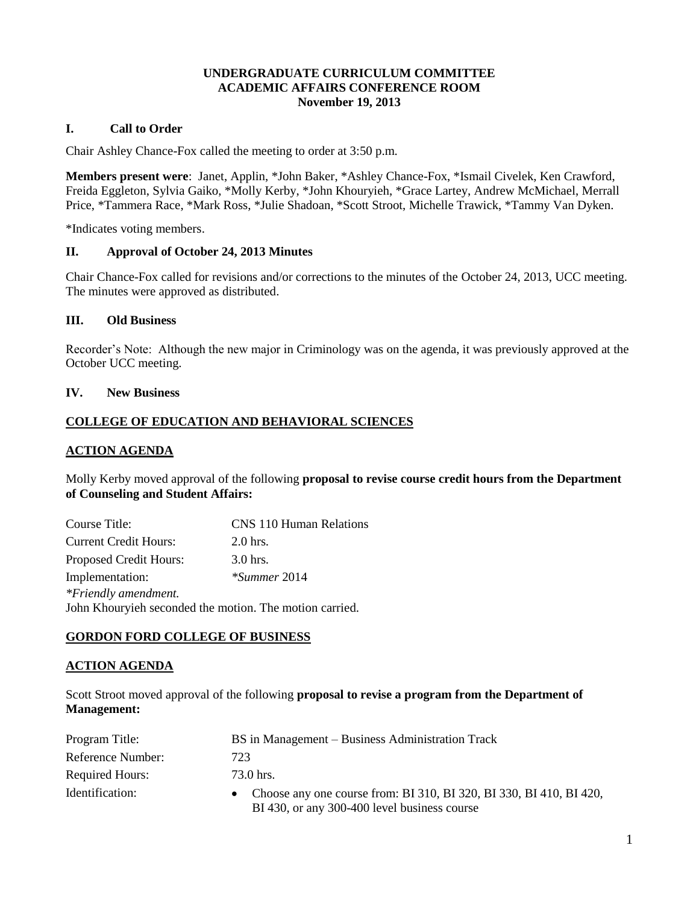## **UNDERGRADUATE CURRICULUM COMMITTEE ACADEMIC AFFAIRS CONFERENCE ROOM November 19, 2013**

## **I. Call to Order**

Chair Ashley Chance-Fox called the meeting to order at 3:50 p.m.

**Members present were**: Janet, Applin, \*John Baker, \*Ashley Chance-Fox, \*Ismail Civelek, Ken Crawford, Freida Eggleton, Sylvia Gaiko, \*Molly Kerby, \*John Khouryieh, \*Grace Lartey, Andrew McMichael, Merrall Price, \*Tammera Race, \*Mark Ross, \*Julie Shadoan, \*Scott Stroot, Michelle Trawick, \*Tammy Van Dyken.

\*Indicates voting members.

## **II. Approval of October 24, 2013 Minutes**

Chair Chance-Fox called for revisions and/or corrections to the minutes of the October 24, 2013, UCC meeting. The minutes were approved as distributed.

## **III. Old Business**

Recorder's Note: Although the new major in Criminology was on the agenda, it was previously approved at the October UCC meeting.

#### **IV. New Business**

## **COLLEGE OF EDUCATION AND BEHAVIORAL SCIENCES**

#### **ACTION AGENDA**

Molly Kerby moved approval of the following **proposal to revise course credit hours from the Department of Counseling and Student Affairs:**

| <b>CNS 110 Human Relations</b><br>Course Title: |                                                         |
|-------------------------------------------------|---------------------------------------------------------|
| <b>Current Credit Hours:</b>                    | $2.0$ hrs.                                              |
| <b>Proposed Credit Hours:</b>                   | $3.0$ hrs.                                              |
| Implementation:                                 | *Summer 2014                                            |
| *Friendly amendment.                            |                                                         |
|                                                 | John Khouryieh seconded the motion. The motion carried. |

## **GORDON FORD COLLEGE OF BUSINESS**

## **ACTION AGENDA**

Scott Stroot moved approval of the following **proposal to revise a program from the Department of Management:**

| Program Title:         | BS in Management – Business Administration Track                                                                      |
|------------------------|-----------------------------------------------------------------------------------------------------------------------|
| Reference Number:      | 723                                                                                                                   |
| <b>Required Hours:</b> | 73.0 hrs.                                                                                                             |
| Identification:        | • Choose any one course from: BI 310, BI 320, BI 330, BI 410, BI 420,<br>BI 430, or any 300-400 level business course |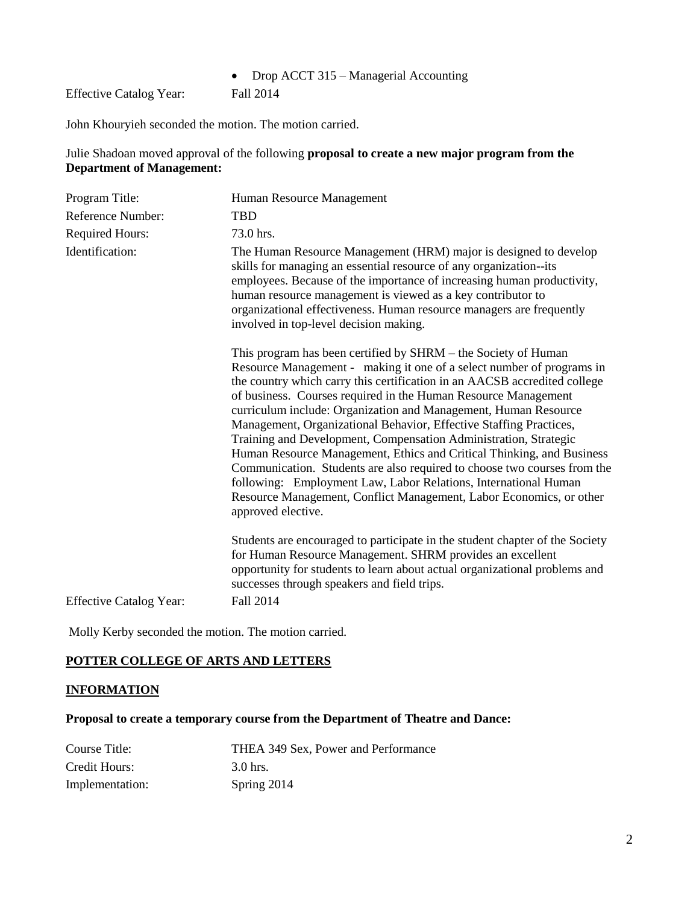## • Drop ACCT 315 – Managerial Accounting

Effective Catalog Year: Fall 2014

John Khouryieh seconded the motion. The motion carried.

## Julie Shadoan moved approval of the following **proposal to create a new major program from the Department of Management:**

| Program Title:                 | Human Resource Management                                                                                                                                                                                                                                                                                                                                                                                                                                                                                                                                                                                                                                                                                                                                                                                                |
|--------------------------------|--------------------------------------------------------------------------------------------------------------------------------------------------------------------------------------------------------------------------------------------------------------------------------------------------------------------------------------------------------------------------------------------------------------------------------------------------------------------------------------------------------------------------------------------------------------------------------------------------------------------------------------------------------------------------------------------------------------------------------------------------------------------------------------------------------------------------|
| <b>Reference Number:</b>       | <b>TBD</b>                                                                                                                                                                                                                                                                                                                                                                                                                                                                                                                                                                                                                                                                                                                                                                                                               |
| <b>Required Hours:</b>         | 73.0 hrs.                                                                                                                                                                                                                                                                                                                                                                                                                                                                                                                                                                                                                                                                                                                                                                                                                |
| Identification:                | The Human Resource Management (HRM) major is designed to develop<br>skills for managing an essential resource of any organization--its<br>employees. Because of the importance of increasing human productivity,<br>human resource management is viewed as a key contributor to<br>organizational effectiveness. Human resource managers are frequently<br>involved in top-level decision making.                                                                                                                                                                                                                                                                                                                                                                                                                        |
|                                | This program has been certified by SHRM – the Society of Human<br>Resource Management - making it one of a select number of programs in<br>the country which carry this certification in an AACSB accredited college<br>of business. Courses required in the Human Resource Management<br>curriculum include: Organization and Management, Human Resource<br>Management, Organizational Behavior, Effective Staffing Practices,<br>Training and Development, Compensation Administration, Strategic<br>Human Resource Management, Ethics and Critical Thinking, and Business<br>Communication. Students are also required to choose two courses from the<br>following: Employment Law, Labor Relations, International Human<br>Resource Management, Conflict Management, Labor Economics, or other<br>approved elective. |
| <b>Effective Catalog Year:</b> | Students are encouraged to participate in the student chapter of the Society<br>for Human Resource Management. SHRM provides an excellent<br>opportunity for students to learn about actual organizational problems and<br>successes through speakers and field trips.<br><b>Fall 2014</b>                                                                                                                                                                                                                                                                                                                                                                                                                                                                                                                               |
|                                |                                                                                                                                                                                                                                                                                                                                                                                                                                                                                                                                                                                                                                                                                                                                                                                                                          |

Molly Kerby seconded the motion. The motion carried.

## **POTTER COLLEGE OF ARTS AND LETTERS**

## **INFORMATION**

# **Proposal to create a temporary course from the Department of Theatre and Dance:**

| Course Title:   | THEA 349 Sex, Power and Performance |
|-----------------|-------------------------------------|
| Credit Hours:   | 3.0 hrs.                            |
| Implementation: | Spring 2014                         |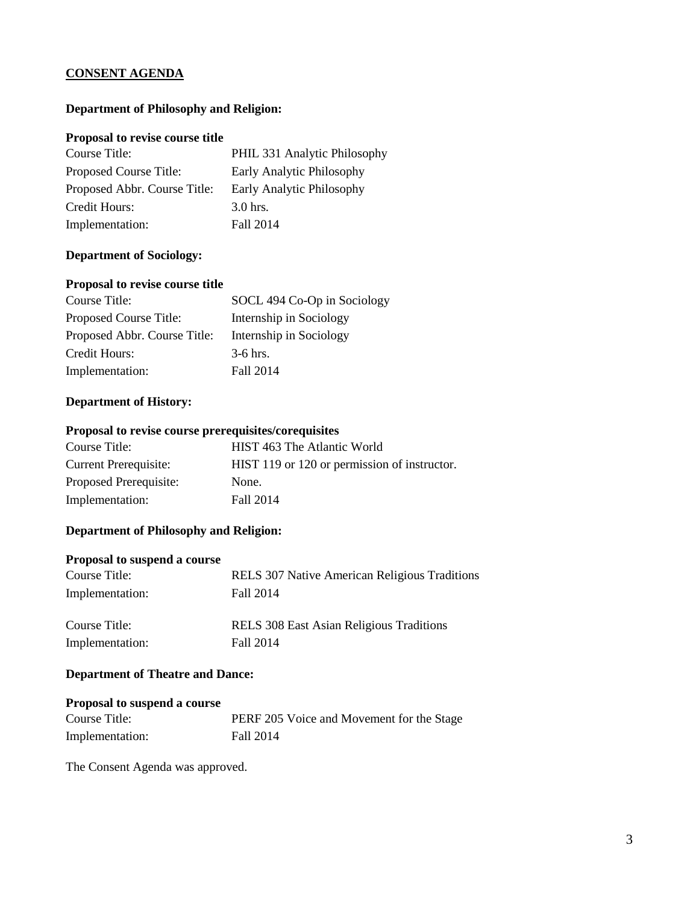## **CONSENT AGENDA**

## **Department of Philosophy and Religion:**

#### **Proposal to revise course title**

| Course Title:                | PHIL 331 Analytic Philosophy |
|------------------------------|------------------------------|
| Proposed Course Title:       | Early Analytic Philosophy    |
| Proposed Abbr. Course Title: | Early Analytic Philosophy    |
| Credit Hours:                | $3.0$ hrs.                   |
| Implementation:              | Fall 2014                    |

#### **Department of Sociology:**

## **Proposal to revise course title**

| Course Title:                | SOCL 494 Co-Op in Sociology |
|------------------------------|-----------------------------|
| Proposed Course Title:       | Internship in Sociology     |
| Proposed Abbr. Course Title: | Internship in Sociology     |
| Credit Hours:                | $3-6$ hrs.                  |
| Implementation:              | Fall 2014                   |

## **Department of History:**

## **Proposal to revise course prerequisites/corequisites**

| Course Title:                | HIST 463 The Atlantic World                  |
|------------------------------|----------------------------------------------|
| <b>Current Prerequisite:</b> | HIST 119 or 120 or permission of instructor. |
| Proposed Prerequisite:       | None.                                        |
| Implementation:              | Fall 2014                                    |

## **Department of Philosophy and Religion:**

## **Proposal to suspend a course**

| Course Title:   | RELS 307 Native American Religious Traditions   |
|-----------------|-------------------------------------------------|
| Implementation: | Fall 2014                                       |
|                 |                                                 |
| Course Title:   | <b>RELS</b> 308 East Asian Religious Traditions |
| Implementation: | Fall 2014                                       |

## **Department of Theatre and Dance:**

#### **Proposal to suspend a course**

| Course Title:   | PERF 205 Voice and Movement for the Stage |
|-----------------|-------------------------------------------|
| Implementation: | Fall 2014                                 |

The Consent Agenda was approved.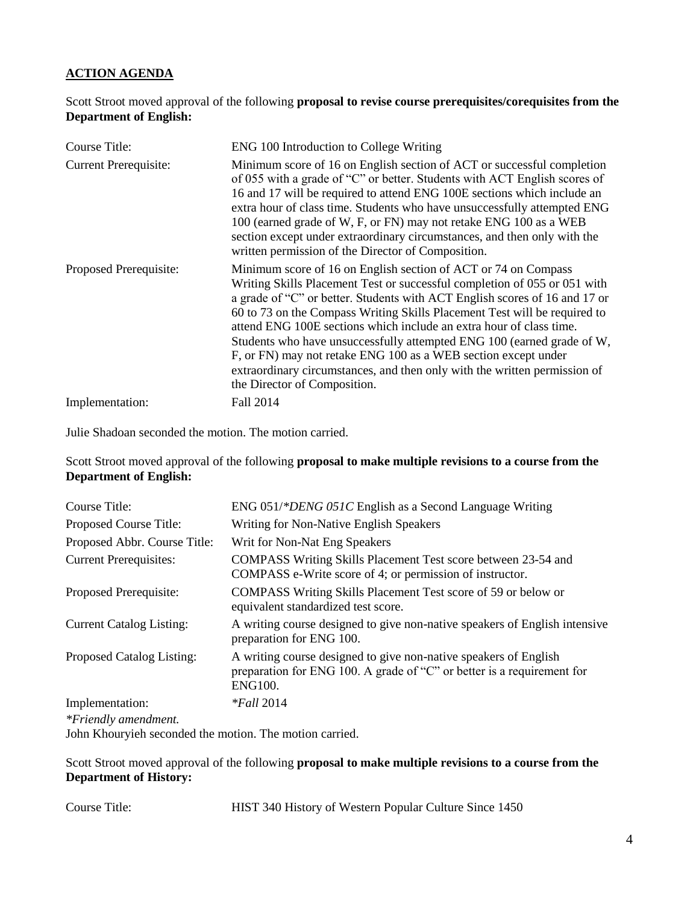## **ACTION AGENDA**

Scott Stroot moved approval of the following **proposal to revise course prerequisites/corequisites from the Department of English:**

| Course Title:                | ENG 100 Introduction to College Writing                                                                                                                                                                                                                                                                                                                                                                                                                                                                                                                                                                                                |
|------------------------------|----------------------------------------------------------------------------------------------------------------------------------------------------------------------------------------------------------------------------------------------------------------------------------------------------------------------------------------------------------------------------------------------------------------------------------------------------------------------------------------------------------------------------------------------------------------------------------------------------------------------------------------|
| <b>Current Prerequisite:</b> | Minimum score of 16 on English section of ACT or successful completion<br>of 055 with a grade of "C" or better. Students with ACT English scores of<br>16 and 17 will be required to attend ENG 100E sections which include an<br>extra hour of class time. Students who have unsuccessfully attempted ENG<br>100 (earned grade of W, F, or FN) may not retake ENG 100 as a WEB<br>section except under extraordinary circumstances, and then only with the<br>written permission of the Director of Composition.                                                                                                                      |
| Proposed Prerequisite:       | Minimum score of 16 on English section of ACT or 74 on Compass<br>Writing Skills Placement Test or successful completion of 055 or 051 with<br>a grade of "C" or better. Students with ACT English scores of 16 and 17 or<br>60 to 73 on the Compass Writing Skills Placement Test will be required to<br>attend ENG 100E sections which include an extra hour of class time.<br>Students who have unsuccessfully attempted ENG 100 (earned grade of W,<br>F, or FN) may not retake ENG 100 as a WEB section except under<br>extraordinary circumstances, and then only with the written permission of<br>the Director of Composition. |
| Implementation:              | Fall 2014                                                                                                                                                                                                                                                                                                                                                                                                                                                                                                                                                                                                                              |

Julie Shadoan seconded the motion. The motion carried.

Scott Stroot moved approval of the following **proposal to make multiple revisions to a course from the Department of English:**

| Course Title:                   | ENG 051/*DENG 051C English as a Second Language Writing                                                                                                      |
|---------------------------------|--------------------------------------------------------------------------------------------------------------------------------------------------------------|
| Proposed Course Title:          | Writing for Non-Native English Speakers                                                                                                                      |
| Proposed Abbr. Course Title:    | Writ for Non-Nat Eng Speakers                                                                                                                                |
| <b>Current Prerequisites:</b>   | COMPASS Writing Skills Placement Test score between 23-54 and<br>COMPASS e-Write score of 4; or permission of instructor.                                    |
| Proposed Prerequisite:          | COMPASS Writing Skills Placement Test score of 59 or below or<br>equivalent standardized test score.                                                         |
| <b>Current Catalog Listing:</b> | A writing course designed to give non-native speakers of English intensive<br>preparation for ENG 100.                                                       |
| Proposed Catalog Listing:       | A writing course designed to give non-native speakers of English<br>preparation for ENG 100. A grade of "C" or better is a requirement for<br><b>ENG100.</b> |
| Implementation:                 | $*Fall 2014$                                                                                                                                                 |
| *Friendly amendment.            |                                                                                                                                                              |

John Khouryieh seconded the motion. The motion carried.

Scott Stroot moved approval of the following **proposal to make multiple revisions to a course from the Department of History:**

Course Title: HIST 340 History of Western Popular Culture Since 1450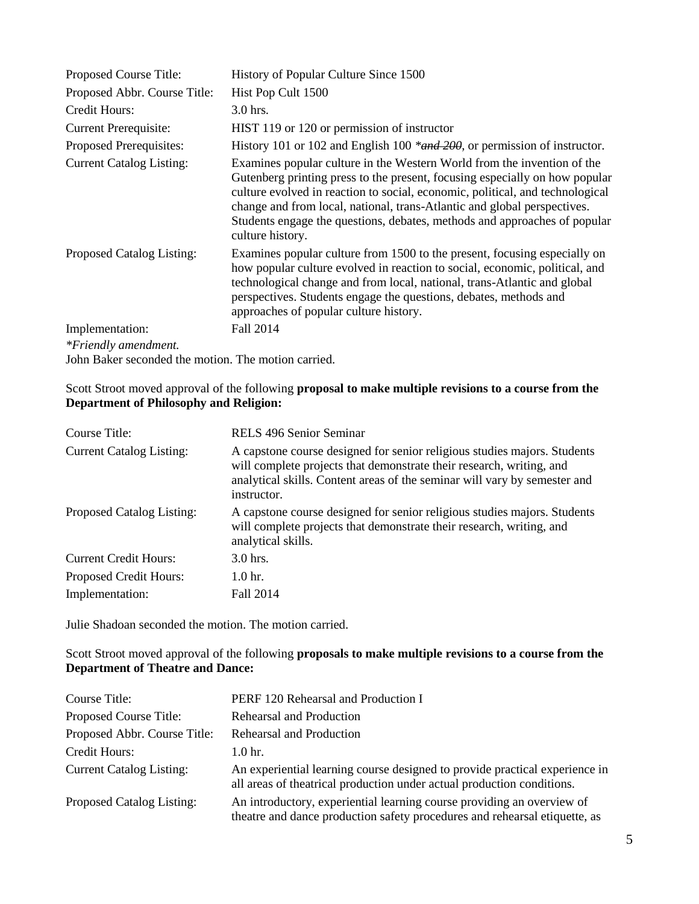| Proposed Course Title:                              | History of Popular Culture Since 1500                                                                                                                                                                                                                                                                                                                                                                                |
|-----------------------------------------------------|----------------------------------------------------------------------------------------------------------------------------------------------------------------------------------------------------------------------------------------------------------------------------------------------------------------------------------------------------------------------------------------------------------------------|
| Proposed Abbr. Course Title:                        | Hist Pop Cult 1500                                                                                                                                                                                                                                                                                                                                                                                                   |
| Credit Hours:                                       | $3.0$ hrs.                                                                                                                                                                                                                                                                                                                                                                                                           |
| <b>Current Prerequisite:</b>                        | HIST 119 or 120 or permission of instructor                                                                                                                                                                                                                                                                                                                                                                          |
| Proposed Prerequisites:                             | History 101 or 102 and English 100 *and 200, or permission of instructor.                                                                                                                                                                                                                                                                                                                                            |
| <b>Current Catalog Listing:</b>                     | Examines popular culture in the Western World from the invention of the<br>Gutenberg printing press to the present, focusing especially on how popular<br>culture evolved in reaction to social, economic, political, and technological<br>change and from local, national, trans-Atlantic and global perspectives.<br>Students engage the questions, debates, methods and approaches of popular<br>culture history. |
| Proposed Catalog Listing:                           | Examines popular culture from 1500 to the present, focusing especially on<br>how popular culture evolved in reaction to social, economic, political, and<br>technological change and from local, national, trans-Atlantic and global<br>perspectives. Students engage the questions, debates, methods and<br>approaches of popular culture history.                                                                  |
| Implementation:                                     | Fall 2014                                                                                                                                                                                                                                                                                                                                                                                                            |
| *Friendly amendment.                                |                                                                                                                                                                                                                                                                                                                                                                                                                      |
| John Baker seconded the motion. The motion carried. |                                                                                                                                                                                                                                                                                                                                                                                                                      |

Scott Stroot moved approval of the following **proposal to make multiple revisions to a course from the Department of Philosophy and Religion:**

| Course Title:                    | RELS 496 Senior Seminar                                                                                                                                                                                                                      |
|----------------------------------|----------------------------------------------------------------------------------------------------------------------------------------------------------------------------------------------------------------------------------------------|
| <b>Current Catalog Listing:</b>  | A capstone course designed for senior religious studies majors. Students<br>will complete projects that demonstrate their research, writing, and<br>analytical skills. Content areas of the seminar will vary by semester and<br>instructor. |
| <b>Proposed Catalog Listing:</b> | A capstone course designed for senior religious studies majors. Students<br>will complete projects that demonstrate their research, writing, and<br>analytical skills.                                                                       |
| <b>Current Credit Hours:</b>     | $3.0$ hrs.                                                                                                                                                                                                                                   |
| <b>Proposed Credit Hours:</b>    | 1.0 <sub>hr.</sub>                                                                                                                                                                                                                           |
| Implementation:                  | Fall 2014                                                                                                                                                                                                                                    |

Julie Shadoan seconded the motion. The motion carried.

Scott Stroot moved approval of the following **proposals to make multiple revisions to a course from the Department of Theatre and Dance:**

| Course Title:                   | PERF 120 Rehearsal and Production I                                                                                                                   |
|---------------------------------|-------------------------------------------------------------------------------------------------------------------------------------------------------|
| Proposed Course Title:          | Rehearsal and Production                                                                                                                              |
| Proposed Abbr. Course Title:    | Rehearsal and Production                                                                                                                              |
| Credit Hours:                   | 1.0 <sub>hr.</sub>                                                                                                                                    |
| <b>Current Catalog Listing:</b> | An experiential learning course designed to provide practical experience in<br>all areas of theatrical production under actual production conditions. |
| Proposed Catalog Listing:       | An introductory, experiential learning course providing an overview of<br>theatre and dance production safety procedures and rehearsal etiquette, as  |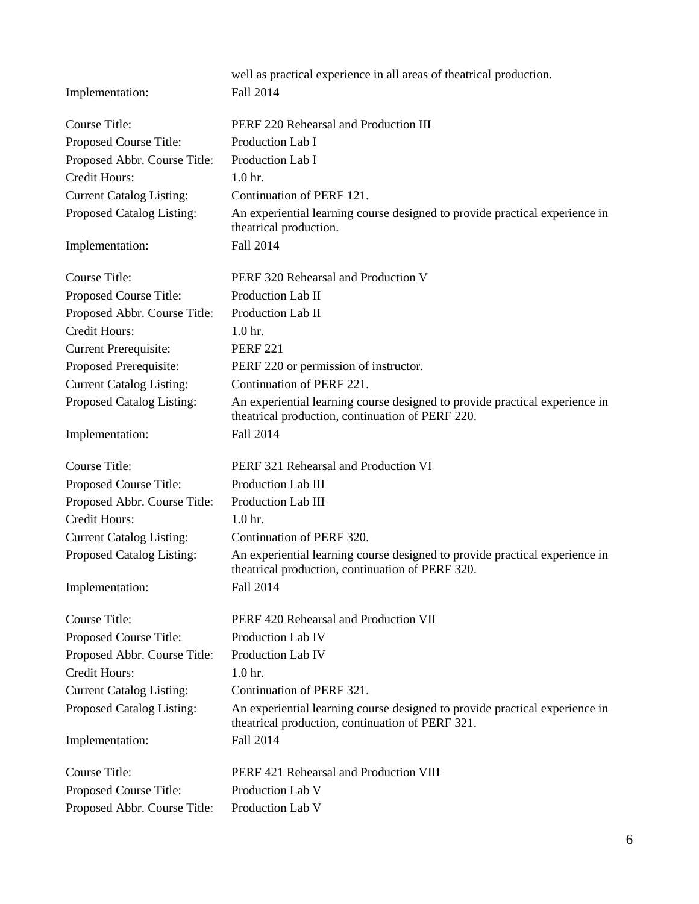|                                 | well as practical experience in all areas of theatrical production.                                                             |
|---------------------------------|---------------------------------------------------------------------------------------------------------------------------------|
| Implementation:                 | Fall 2014                                                                                                                       |
| <b>Course Title:</b>            | PERF 220 Rehearsal and Production III                                                                                           |
| Proposed Course Title:          | Production Lab I                                                                                                                |
| Proposed Abbr. Course Title:    | Production Lab I                                                                                                                |
| <b>Credit Hours:</b>            | 1.0 <sub>hr.</sub>                                                                                                              |
| <b>Current Catalog Listing:</b> | Continuation of PERF 121.                                                                                                       |
| Proposed Catalog Listing:       | An experiential learning course designed to provide practical experience in                                                     |
|                                 | theatrical production.                                                                                                          |
| Implementation:                 | Fall 2014                                                                                                                       |
| <b>Course Title:</b>            | PERF 320 Rehearsal and Production V                                                                                             |
| Proposed Course Title:          | Production Lab II                                                                                                               |
| Proposed Abbr. Course Title:    | Production Lab II                                                                                                               |
| <b>Credit Hours:</b>            | 1.0 <sub>hr.</sub>                                                                                                              |
| <b>Current Prerequisite:</b>    | <b>PERF 221</b>                                                                                                                 |
| Proposed Prerequisite:          | PERF 220 or permission of instructor.                                                                                           |
| <b>Current Catalog Listing:</b> | Continuation of PERF 221.                                                                                                       |
| Proposed Catalog Listing:       | An experiential learning course designed to provide practical experience in<br>theatrical production, continuation of PERF 220. |
| Implementation:                 | Fall 2014                                                                                                                       |
| <b>Course Title:</b>            | PERF 321 Rehearsal and Production VI                                                                                            |
| Proposed Course Title:          | Production Lab III                                                                                                              |
| Proposed Abbr. Course Title:    | Production Lab III                                                                                                              |
| Credit Hours:                   | 1.0 <sub>hr.</sub>                                                                                                              |
| <b>Current Catalog Listing:</b> | Continuation of PERF 320.                                                                                                       |
| Proposed Catalog Listing:       | An experiential learning course designed to provide practical experience in<br>theatrical production, continuation of PERF 320. |
| Implementation:                 | Fall 2014                                                                                                                       |
| Course Title:                   | PERF 420 Rehearsal and Production VII                                                                                           |
| Proposed Course Title:          | Production Lab IV                                                                                                               |
| Proposed Abbr. Course Title:    | Production Lab IV                                                                                                               |
| Credit Hours:                   | 1.0 <sub>hr.</sub>                                                                                                              |
| <b>Current Catalog Listing:</b> | Continuation of PERF 321.                                                                                                       |
| Proposed Catalog Listing:       | An experiential learning course designed to provide practical experience in<br>theatrical production, continuation of PERF 321. |
| Implementation:                 | Fall 2014                                                                                                                       |
| Course Title:                   | PERF 421 Rehearsal and Production VIII                                                                                          |
| Proposed Course Title:          | Production Lab V                                                                                                                |
| Proposed Abbr. Course Title:    | Production Lab V                                                                                                                |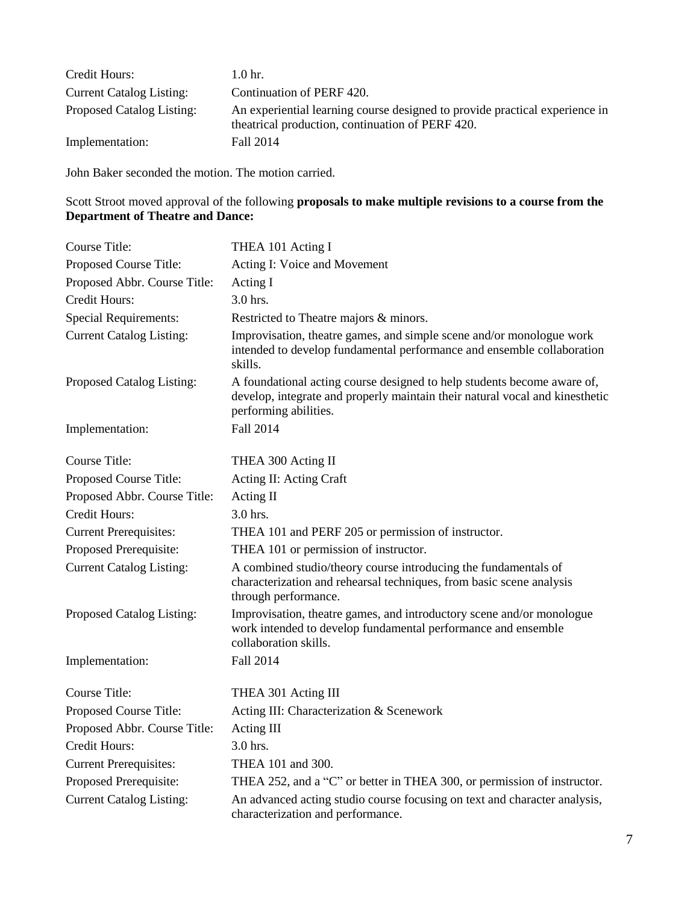| Credit Hours:                   | 1.0 <sub>hr.</sub>                                                                                                              |
|---------------------------------|---------------------------------------------------------------------------------------------------------------------------------|
| <b>Current Catalog Listing:</b> | Continuation of PERF 420.                                                                                                       |
| Proposed Catalog Listing:       | An experiential learning course designed to provide practical experience in<br>theatrical production, continuation of PERF 420. |
| Implementation:                 | Fall 2014                                                                                                                       |

John Baker seconded the motion. The motion carried.

## Scott Stroot moved approval of the following **proposals to make multiple revisions to a course from the Department of Theatre and Dance:**

| <b>Course Title:</b>            | THEA 101 Acting I                                                                                                                                                                |
|---------------------------------|----------------------------------------------------------------------------------------------------------------------------------------------------------------------------------|
| Proposed Course Title:          | Acting I: Voice and Movement                                                                                                                                                     |
| Proposed Abbr. Course Title:    | Acting I                                                                                                                                                                         |
| Credit Hours:                   | 3.0 hrs.                                                                                                                                                                         |
| <b>Special Requirements:</b>    | Restricted to Theatre majors & minors.                                                                                                                                           |
| <b>Current Catalog Listing:</b> | Improvisation, theatre games, and simple scene and/or monologue work<br>intended to develop fundamental performance and ensemble collaboration<br>skills.                        |
| Proposed Catalog Listing:       | A foundational acting course designed to help students become aware of,<br>develop, integrate and properly maintain their natural vocal and kinesthetic<br>performing abilities. |
| Implementation:                 | Fall 2014                                                                                                                                                                        |
| <b>Course Title:</b>            | THEA 300 Acting II                                                                                                                                                               |
| Proposed Course Title:          | Acting II: Acting Craft                                                                                                                                                          |
| Proposed Abbr. Course Title:    | Acting II                                                                                                                                                                        |
| <b>Credit Hours:</b>            | 3.0 hrs.                                                                                                                                                                         |
| <b>Current Prerequisites:</b>   | THEA 101 and PERF 205 or permission of instructor.                                                                                                                               |
| Proposed Prerequisite:          | THEA 101 or permission of instructor.                                                                                                                                            |
| <b>Current Catalog Listing:</b> | A combined studio/theory course introducing the fundamentals of<br>characterization and rehearsal techniques, from basic scene analysis<br>through performance.                  |
| Proposed Catalog Listing:       | Improvisation, theatre games, and introductory scene and/or monologue<br>work intended to develop fundamental performance and ensemble<br>collaboration skills.                  |
| Implementation:                 | Fall 2014                                                                                                                                                                        |
| <b>Course Title:</b>            | THEA 301 Acting III                                                                                                                                                              |
| Proposed Course Title:          | Acting III: Characterization & Scenework                                                                                                                                         |
| Proposed Abbr. Course Title:    | Acting III                                                                                                                                                                       |
| <b>Credit Hours:</b>            | $3.0$ hrs.                                                                                                                                                                       |
| <b>Current Prerequisites:</b>   | THEA 101 and 300.                                                                                                                                                                |
| Proposed Prerequisite:          | THEA 252, and a "C" or better in THEA 300, or permission of instructor.                                                                                                          |
| <b>Current Catalog Listing:</b> | An advanced acting studio course focusing on text and character analysis,<br>characterization and performance.                                                                   |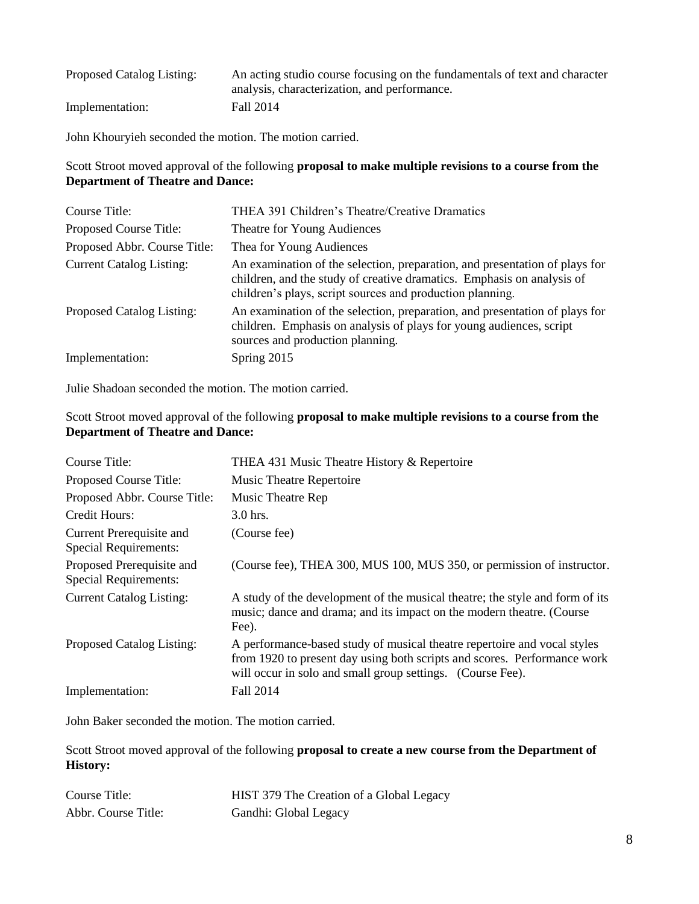| Proposed Catalog Listing: | An acting studio course focusing on the fundamentals of text and character |
|---------------------------|----------------------------------------------------------------------------|
|                           | analysis, characterization, and performance.                               |
| Implementation:           | Fall 2014                                                                  |

John Khouryieh seconded the motion. The motion carried.

## Scott Stroot moved approval of the following **proposal to make multiple revisions to a course from the Department of Theatre and Dance:**

| Course Title:                    | THEA 391 Children's Theatre/Creative Dramatics                                                                                                                                                                     |
|----------------------------------|--------------------------------------------------------------------------------------------------------------------------------------------------------------------------------------------------------------------|
| Proposed Course Title:           | Theatre for Young Audiences                                                                                                                                                                                        |
| Proposed Abbr. Course Title:     | Thea for Young Audiences                                                                                                                                                                                           |
| <b>Current Catalog Listing:</b>  | An examination of the selection, preparation, and presentation of plays for<br>children, and the study of creative dramatics. Emphasis on analysis of<br>children's plays, script sources and production planning. |
| <b>Proposed Catalog Listing:</b> | An examination of the selection, preparation, and presentation of plays for<br>children. Emphasis on analysis of plays for young audiences, script<br>sources and production planning.                             |
| Implementation:                  | Spring 2015                                                                                                                                                                                                        |

Julie Shadoan seconded the motion. The motion carried.

## Scott Stroot moved approval of the following **proposal to make multiple revisions to a course from the Department of Theatre and Dance:**

| Course Title:                                             | THEA 431 Music Theatre History & Repertoire                                                                                                                                                                        |
|-----------------------------------------------------------|--------------------------------------------------------------------------------------------------------------------------------------------------------------------------------------------------------------------|
| Proposed Course Title:                                    | <b>Music Theatre Repertoire</b>                                                                                                                                                                                    |
| Proposed Abbr. Course Title:                              | Music Theatre Rep                                                                                                                                                                                                  |
| Credit Hours:                                             | $3.0$ hrs.                                                                                                                                                                                                         |
| Current Prerequisite and<br><b>Special Requirements:</b>  | (Course fee)                                                                                                                                                                                                       |
| Proposed Prerequisite and<br><b>Special Requirements:</b> | (Course fee), THEA 300, MUS 100, MUS 350, or permission of instructor.                                                                                                                                             |
| <b>Current Catalog Listing:</b>                           | A study of the development of the musical theatre; the style and form of its<br>music; dance and drama; and its impact on the modern theatre. (Course<br>Fee).                                                     |
| Proposed Catalog Listing:                                 | A performance-based study of musical theatre repertoire and vocal styles<br>from 1920 to present day using both scripts and scores. Performance work<br>will occur in solo and small group settings. (Course Fee). |
| Implementation:                                           | Fall 2014                                                                                                                                                                                                          |

John Baker seconded the motion. The motion carried.

Scott Stroot moved approval of the following **proposal to create a new course from the Department of History:**

| Course Title:       | HIST 379 The Creation of a Global Legacy |
|---------------------|------------------------------------------|
| Abbr. Course Title: | Gandhi: Global Legacy                    |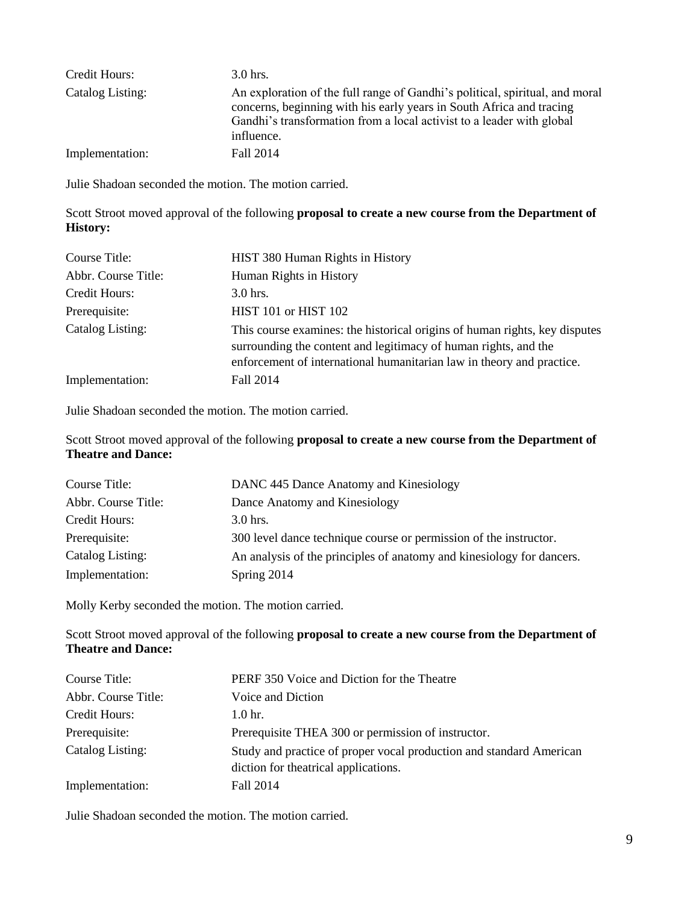| Credit Hours:    | $3.0$ hrs.                                                                                                                                                                                                                                  |
|------------------|---------------------------------------------------------------------------------------------------------------------------------------------------------------------------------------------------------------------------------------------|
| Catalog Listing: | An exploration of the full range of Gandhi's political, spiritual, and moral<br>concerns, beginning with his early years in South Africa and tracing<br>Gandhi's transformation from a local activist to a leader with global<br>influence. |
| Implementation:  | Fall 2014                                                                                                                                                                                                                                   |

Julie Shadoan seconded the motion. The motion carried.

Scott Stroot moved approval of the following **proposal to create a new course from the Department of History:**

| Course Title:       | HIST 380 Human Rights in History                                                                                                                                                                                       |
|---------------------|------------------------------------------------------------------------------------------------------------------------------------------------------------------------------------------------------------------------|
| Abbr. Course Title: | Human Rights in History                                                                                                                                                                                                |
| Credit Hours:       | $3.0$ hrs.                                                                                                                                                                                                             |
| Prerequisite:       | HIST 101 or HIST 102                                                                                                                                                                                                   |
| Catalog Listing:    | This course examines: the historical origins of human rights, key disputes<br>surrounding the content and legitimacy of human rights, and the<br>enforcement of international humanitarian law in theory and practice. |
| Implementation:     | Fall 2014                                                                                                                                                                                                              |

Julie Shadoan seconded the motion. The motion carried.

Scott Stroot moved approval of the following **proposal to create a new course from the Department of Theatre and Dance:**

| Course Title:       | DANC 445 Dance Anatomy and Kinesiology                                |
|---------------------|-----------------------------------------------------------------------|
| Abbr. Course Title: | Dance Anatomy and Kinesiology                                         |
| Credit Hours:       | $3.0$ hrs.                                                            |
| Prerequisite:       | 300 level dance technique course or permission of the instructor.     |
| Catalog Listing:    | An analysis of the principles of anatomy and kinesiology for dancers. |
| Implementation:     | Spring 2014                                                           |

Molly Kerby seconded the motion. The motion carried.

Scott Stroot moved approval of the following **proposal to create a new course from the Department of Theatre and Dance:**

| Course Title:       | PERF 350 Voice and Diction for the Theatre                                                                  |
|---------------------|-------------------------------------------------------------------------------------------------------------|
| Abbr. Course Title: | Voice and Diction                                                                                           |
| Credit Hours:       | 1.0 <sub>hr</sub>                                                                                           |
| Prerequisite:       | Prerequisite THEA 300 or permission of instructor.                                                          |
| Catalog Listing:    | Study and practice of proper vocal production and standard American<br>diction for theatrical applications. |
| Implementation:     | Fall 2014                                                                                                   |

Julie Shadoan seconded the motion. The motion carried.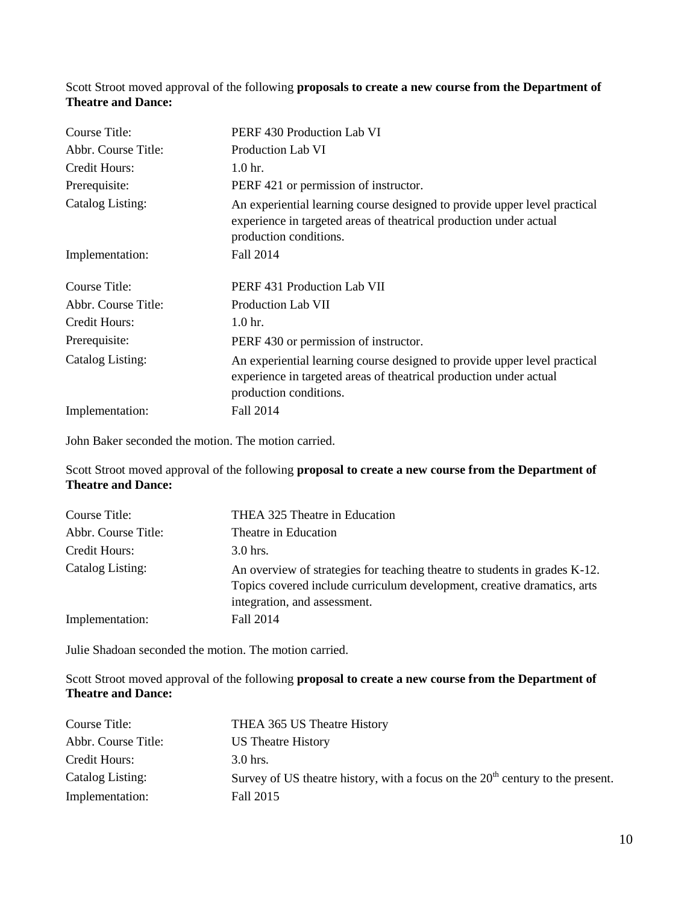## Scott Stroot moved approval of the following **proposals to create a new course from the Department of Theatre and Dance:**

| Course Title:       | PERF 430 Production Lab VI                                                                                                                                                |
|---------------------|---------------------------------------------------------------------------------------------------------------------------------------------------------------------------|
| Abbr. Course Title: | <b>Production Lab VI</b>                                                                                                                                                  |
| Credit Hours:       | 1.0 <sub>hr.</sub>                                                                                                                                                        |
| Prerequisite:       | PERF 421 or permission of instructor.                                                                                                                                     |
| Catalog Listing:    | An experiential learning course designed to provide upper level practical<br>experience in targeted areas of theatrical production under actual<br>production conditions. |
| Implementation:     | Fall 2014                                                                                                                                                                 |
| Course Title:       | PERF 431 Production Lab VII                                                                                                                                               |
| Abbr. Course Title: | Production Lab VII                                                                                                                                                        |
| Credit Hours:       | 1.0 <sub>hr.</sub>                                                                                                                                                        |
| Prerequisite:       | PERF 430 or permission of instructor.                                                                                                                                     |
| Catalog Listing:    | An experiential learning course designed to provide upper level practical<br>experience in targeted areas of theatrical production under actual<br>production conditions. |
| Implementation:     | Fall 2014                                                                                                                                                                 |

John Baker seconded the motion. The motion carried.

Scott Stroot moved approval of the following **proposal to create a new course from the Department of Theatre and Dance:**

| Course Title:       | THEA 325 Theatre in Education                                                                                                                                                         |
|---------------------|---------------------------------------------------------------------------------------------------------------------------------------------------------------------------------------|
| Abbr. Course Title: | Theatre in Education                                                                                                                                                                  |
| Credit Hours:       | $3.0$ hrs.                                                                                                                                                                            |
| Catalog Listing:    | An overview of strategies for teaching theatre to students in grades K-12.<br>Topics covered include curriculum development, creative dramatics, arts<br>integration, and assessment. |
| Implementation:     | Fall 2014                                                                                                                                                                             |

Julie Shadoan seconded the motion. The motion carried.

## Scott Stroot moved approval of the following **proposal to create a new course from the Department of Theatre and Dance:**

| Course Title:       | THEA 365 US Theatre History                                                      |
|---------------------|----------------------------------------------------------------------------------|
| Abbr. Course Title: | US Theatre History                                                               |
| Credit Hours:       | $3.0$ hrs.                                                                       |
| Catalog Listing:    | Survey of US theatre history, with a focus on the $20th$ century to the present. |
| Implementation:     | Fall 2015                                                                        |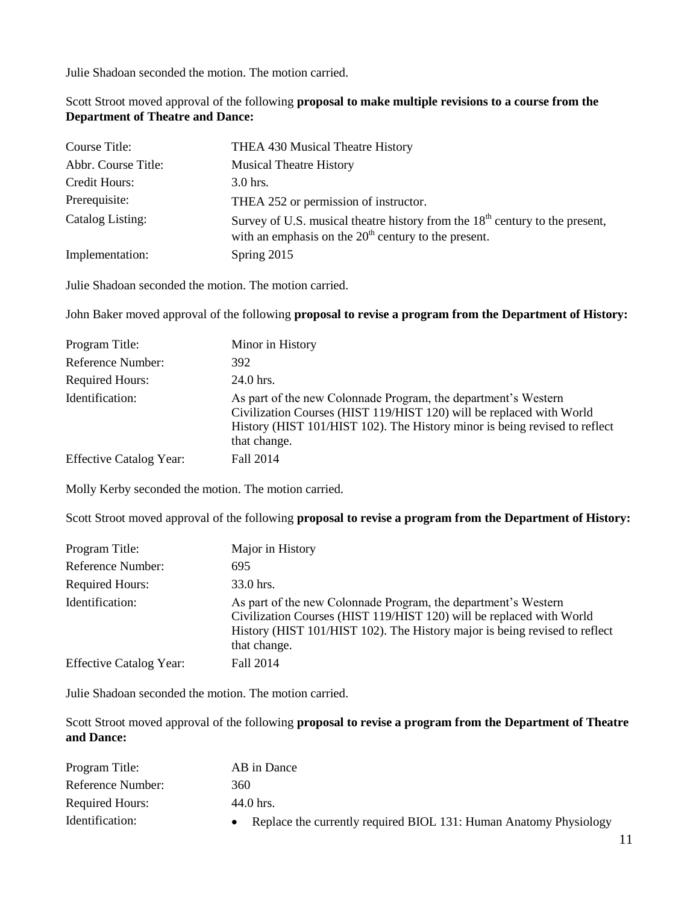Julie Shadoan seconded the motion. The motion carried.

Scott Stroot moved approval of the following **proposal to make multiple revisions to a course from the Department of Theatre and Dance:**

| Course Title:       | THEA 430 Musical Theatre History                                                                                                         |
|---------------------|------------------------------------------------------------------------------------------------------------------------------------------|
| Abbr. Course Title: | <b>Musical Theatre History</b>                                                                                                           |
| Credit Hours:       | $3.0$ hrs.                                                                                                                               |
| Prerequisite:       | THEA 252 or permission of instructor.                                                                                                    |
| Catalog Listing:    | Survey of U.S. musical theatre history from the $18th$ century to the present,<br>with an emphasis on the $20th$ century to the present. |
| Implementation:     | Spring 2015                                                                                                                              |

Julie Shadoan seconded the motion. The motion carried.

John Baker moved approval of the following **proposal to revise a program from the Department of History:**

| Program Title:                 | Minor in History                                                                                                                                                                                                                     |
|--------------------------------|--------------------------------------------------------------------------------------------------------------------------------------------------------------------------------------------------------------------------------------|
| Reference Number:              | 392                                                                                                                                                                                                                                  |
| <b>Required Hours:</b>         | 24.0 hrs.                                                                                                                                                                                                                            |
| Identification:                | As part of the new Colonnade Program, the department's Western<br>Civilization Courses (HIST 119/HIST 120) will be replaced with World<br>History (HIST 101/HIST 102). The History minor is being revised to reflect<br>that change. |
| <b>Effective Catalog Year:</b> | Fall 2014                                                                                                                                                                                                                            |

Molly Kerby seconded the motion. The motion carried.

Scott Stroot moved approval of the following **proposal to revise a program from the Department of History:**

| Program Title:                 | Major in History                                                                                                                                                                                                                     |
|--------------------------------|--------------------------------------------------------------------------------------------------------------------------------------------------------------------------------------------------------------------------------------|
| Reference Number:              | 695                                                                                                                                                                                                                                  |
| <b>Required Hours:</b>         | 33.0 hrs.                                                                                                                                                                                                                            |
| Identification:                | As part of the new Colonnade Program, the department's Western<br>Civilization Courses (HIST 119/HIST 120) will be replaced with World<br>History (HIST 101/HIST 102). The History major is being revised to reflect<br>that change. |
| <b>Effective Catalog Year:</b> | Fall 2014                                                                                                                                                                                                                            |

Julie Shadoan seconded the motion. The motion carried.

Scott Stroot moved approval of the following **proposal to revise a program from the Department of Theatre and Dance:**

| Program Title:         | AB in Dance                                                         |
|------------------------|---------------------------------------------------------------------|
| Reference Number:      | 360                                                                 |
| <b>Required Hours:</b> | 44.0 hrs.                                                           |
| Identification:        | • Replace the currently required BIOL 131: Human Anatomy Physiology |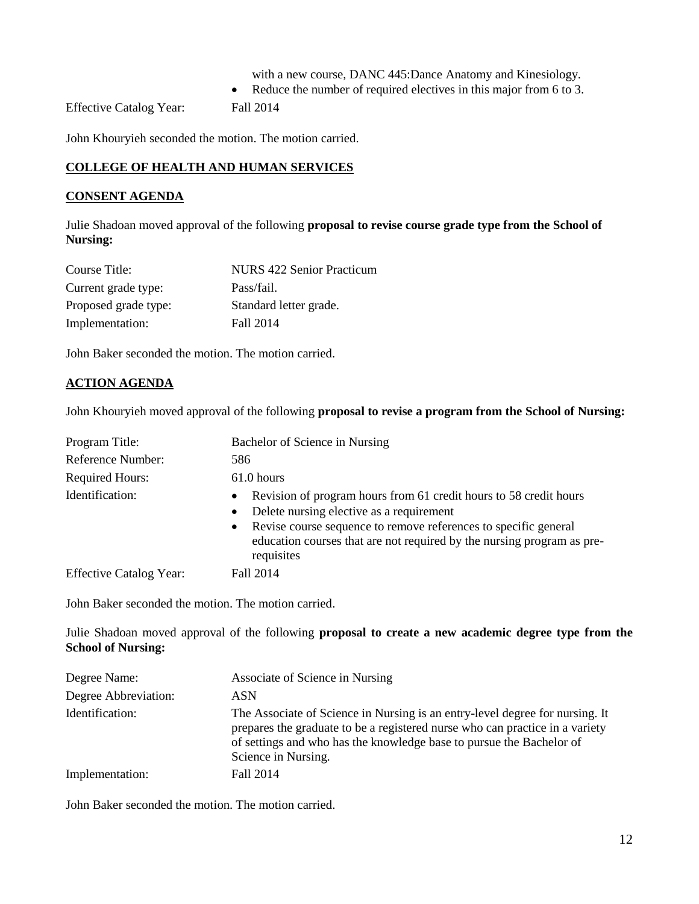- with a new course, DANC 445:Dance Anatomy and Kinesiology*.*
- Reduce the number of required electives in this major from 6 to 3.

Effective Catalog Year: Fall 2014

John Khouryieh seconded the motion. The motion carried.

## **COLLEGE OF HEALTH AND HUMAN SERVICES**

## **CONSENT AGENDA**

Julie Shadoan moved approval of the following **proposal to revise course grade type from the School of Nursing:**

| Course Title:        | <b>NURS 422 Senior Practicum</b> |
|----------------------|----------------------------------|
| Current grade type:  | Pass/fail.                       |
| Proposed grade type: | Standard letter grade.           |
| Implementation:      | Fall 2014                        |

John Baker seconded the motion. The motion carried.

## **ACTION AGENDA**

John Khouryieh moved approval of the following **proposal to revise a program from the School of Nursing:**

| Program Title:                 | Bachelor of Science in Nursing                                                                                                                                                                                                                                                            |
|--------------------------------|-------------------------------------------------------------------------------------------------------------------------------------------------------------------------------------------------------------------------------------------------------------------------------------------|
| Reference Number:              | 586                                                                                                                                                                                                                                                                                       |
| <b>Required Hours:</b>         | $61.0$ hours                                                                                                                                                                                                                                                                              |
| Identification:                | • Revision of program hours from 61 credit hours to 58 credit hours<br>Delete nursing elective as a requirement<br>$\bullet$<br>• Revise course sequence to remove references to specific general<br>education courses that are not required by the nursing program as pre-<br>requisites |
| <b>Effective Catalog Year:</b> | Fall 2014                                                                                                                                                                                                                                                                                 |

John Baker seconded the motion. The motion carried.

Julie Shadoan moved approval of the following **proposal to create a new academic degree type from the School of Nursing:**

| Degree Name:         | Associate of Science in Nursing                                                                                                                                                                                                                             |
|----------------------|-------------------------------------------------------------------------------------------------------------------------------------------------------------------------------------------------------------------------------------------------------------|
| Degree Abbreviation: | ASN                                                                                                                                                                                                                                                         |
| Identification:      | The Associate of Science in Nursing is an entry-level degree for nursing. It<br>prepares the graduate to be a registered nurse who can practice in a variety<br>of settings and who has the knowledge base to pursue the Bachelor of<br>Science in Nursing. |
| Implementation:      | Fall 2014                                                                                                                                                                                                                                                   |

John Baker seconded the motion. The motion carried.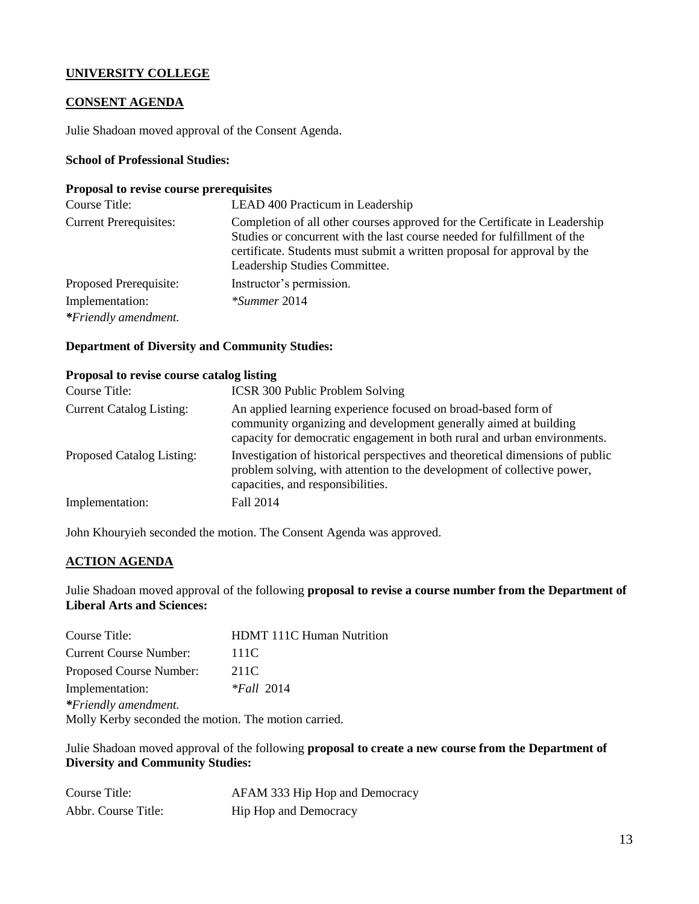## **UNIVERSITY COLLEGE**

## **CONSENT AGENDA**

Julie Shadoan moved approval of the Consent Agenda.

## **School of Professional Studies:**

#### **Proposal to revise course prerequisites**

| Course Title:                           | LEAD 400 Practicum in Leadership                                                                                                                                                                                                                                    |
|-----------------------------------------|---------------------------------------------------------------------------------------------------------------------------------------------------------------------------------------------------------------------------------------------------------------------|
| <b>Current Prerequisites:</b>           | Completion of all other courses approved for the Certificate in Leadership<br>Studies or concurrent with the last course needed for fulfillment of the<br>certificate. Students must submit a written proposal for approval by the<br>Leadership Studies Committee. |
| Proposed Prerequisite:                  | Instructor's permission.                                                                                                                                                                                                                                            |
| Implementation:<br>*Friendly amendment. | $*$ Summer 2014                                                                                                                                                                                                                                                     |

#### **Department of Diversity and Community Studies:**

## **Proposal to revise course catalog listing**

| Course Title:                   | <b>ICSR 300 Public Problem Solving</b>                                                                                                                                                                        |
|---------------------------------|---------------------------------------------------------------------------------------------------------------------------------------------------------------------------------------------------------------|
| <b>Current Catalog Listing:</b> | An applied learning experience focused on broad-based form of<br>community organizing and development generally aimed at building<br>capacity for democratic engagement in both rural and urban environments. |
| Proposed Catalog Listing:       | Investigation of historical perspectives and theoretical dimensions of public<br>problem solving, with attention to the development of collective power,<br>capacities, and responsibilities.                 |
| Implementation:                 | Fall 2014                                                                                                                                                                                                     |

John Khouryieh seconded the motion. The Consent Agenda was approved.

## **ACTION AGENDA**

Julie Shadoan moved approval of the following **proposal to revise a course number from the Department of Liberal Arts and Sciences:**

| Course Title:                                        | <b>HDMT 111C Human Nutrition</b> |
|------------------------------------------------------|----------------------------------|
| <b>Current Course Number:</b>                        | 111C                             |
| Proposed Course Number:                              | 211C                             |
| Implementation:                                      | $*Fall 2014$                     |
| *Friendly amendment.                                 |                                  |
| Molly Kerby seconded the motion. The motion carried. |                                  |

Julie Shadoan moved approval of the following **proposal to create a new course from the Department of Diversity and Community Studies:**

| Course Title:       | AFAM 333 Hip Hop and Democracy |
|---------------------|--------------------------------|
| Abbr. Course Title: | Hip Hop and Democracy          |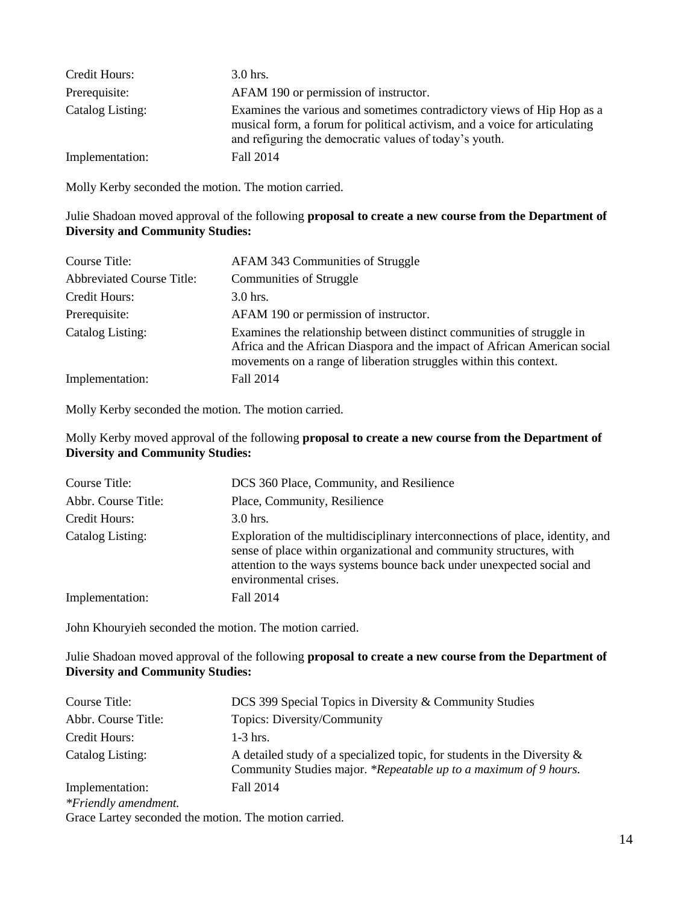| Credit Hours:    | $3.0$ hrs.                                                                                                                                                                                                     |
|------------------|----------------------------------------------------------------------------------------------------------------------------------------------------------------------------------------------------------------|
| Prerequisite:    | AFAM 190 or permission of instructor.                                                                                                                                                                          |
| Catalog Listing: | Examines the various and sometimes contradictory views of Hip Hop as a<br>musical form, a forum for political activism, and a voice for articulating<br>and refiguring the democratic values of today's youth. |
| Implementation:  | Fall 2014                                                                                                                                                                                                      |

Molly Kerby seconded the motion. The motion carried.

## Julie Shadoan moved approval of the following **proposal to create a new course from the Department of Diversity and Community Studies:**

| Course Title:                    | AFAM 343 Communities of Struggle                                                                                                                                                                                        |
|----------------------------------|-------------------------------------------------------------------------------------------------------------------------------------------------------------------------------------------------------------------------|
| <b>Abbreviated Course Title:</b> | <b>Communities of Struggle</b>                                                                                                                                                                                          |
| Credit Hours:                    | $3.0$ hrs.                                                                                                                                                                                                              |
| Prerequisite:                    | AFAM 190 or permission of instructor.                                                                                                                                                                                   |
| Catalog Listing:                 | Examines the relationship between distinct communities of struggle in<br>Africa and the African Diaspora and the impact of African American social<br>movements on a range of liberation struggles within this context. |
| Implementation:                  | Fall 2014                                                                                                                                                                                                               |

Molly Kerby seconded the motion. The motion carried.

## Molly Kerby moved approval of the following **proposal to create a new course from the Department of Diversity and Community Studies:**

| Course Title:       | DCS 360 Place, Community, and Resilience                                                                                                                                                                                                               |
|---------------------|--------------------------------------------------------------------------------------------------------------------------------------------------------------------------------------------------------------------------------------------------------|
| Abbr. Course Title: | Place, Community, Resilience                                                                                                                                                                                                                           |
| Credit Hours:       | $3.0$ hrs.                                                                                                                                                                                                                                             |
| Catalog Listing:    | Exploration of the multidisciplinary interconnections of place, identity, and<br>sense of place within organizational and community structures, with<br>attention to the ways systems bounce back under unexpected social and<br>environmental crises. |
| Implementation:     | Fall 2014                                                                                                                                                                                                                                              |

John Khouryieh seconded the motion. The motion carried.

Julie Shadoan moved approval of the following **proposal to create a new course from the Department of Diversity and Community Studies:**

| Course Title:        | DCS 399 Special Topics in Diversity & Community Studies                                                                                         |
|----------------------|-------------------------------------------------------------------------------------------------------------------------------------------------|
| Abbr. Course Title:  | Topics: Diversity/Community                                                                                                                     |
| Credit Hours:        | $1-3$ hrs.                                                                                                                                      |
| Catalog Listing:     | A detailed study of a specialized topic, for students in the Diversity $\&$<br>Community Studies major. *Repeatable up to a maximum of 9 hours. |
| Implementation:      | Fall 2014                                                                                                                                       |
| *Friendly amendment. |                                                                                                                                                 |
|                      | Grace Lartey seconded the motion. The motion carried.                                                                                           |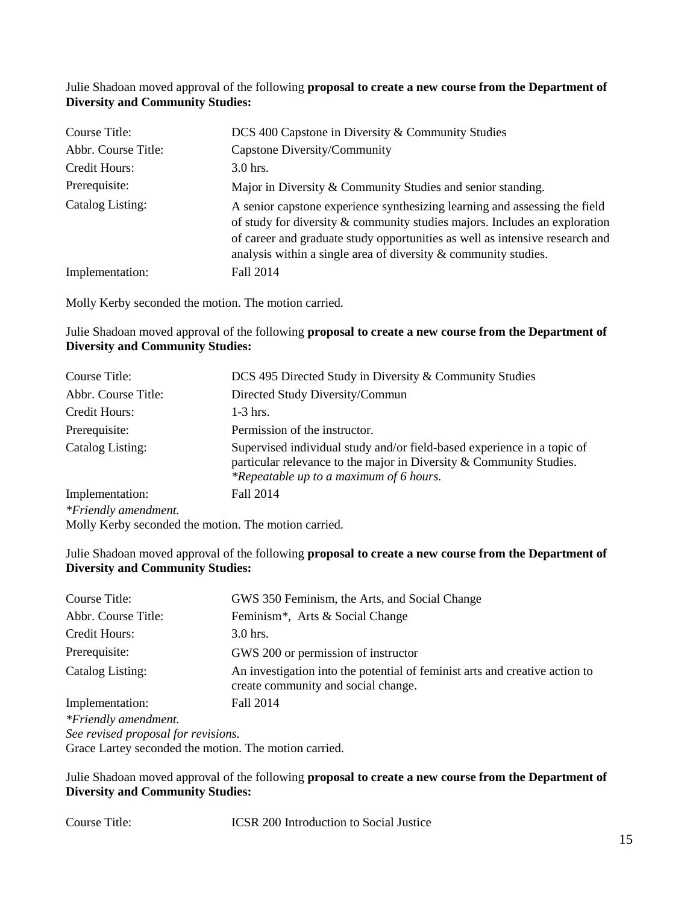## Julie Shadoan moved approval of the following **proposal to create a new course from the Department of Diversity and Community Studies:**

| Course Title:       | DCS 400 Capstone in Diversity & Community Studies                                                                                                                                                                                                                                                             |
|---------------------|---------------------------------------------------------------------------------------------------------------------------------------------------------------------------------------------------------------------------------------------------------------------------------------------------------------|
| Abbr. Course Title: | Capstone Diversity/Community                                                                                                                                                                                                                                                                                  |
| Credit Hours:       | $3.0$ hrs.                                                                                                                                                                                                                                                                                                    |
| Prerequisite:       | Major in Diversity & Community Studies and senior standing.                                                                                                                                                                                                                                                   |
| Catalog Listing:    | A senior capstone experience synthesizing learning and assessing the field<br>of study for diversity & community studies majors. Includes an exploration<br>of career and graduate study opportunities as well as intensive research and<br>analysis within a single area of diversity $&$ community studies. |
| Implementation:     | Fall 2014                                                                                                                                                                                                                                                                                                     |

Molly Kerby seconded the motion. The motion carried.

## Julie Shadoan moved approval of the following **proposal to create a new course from the Department of Diversity and Community Studies:**

| Course Title:        | DCS 495 Directed Study in Diversity & Community Studies                                                                                                                                   |
|----------------------|-------------------------------------------------------------------------------------------------------------------------------------------------------------------------------------------|
| Abbr. Course Title:  | Directed Study Diversity/Commun                                                                                                                                                           |
| Credit Hours:        | $1-3$ hrs.                                                                                                                                                                                |
| Prerequisite:        | Permission of the instructor.                                                                                                                                                             |
| Catalog Listing:     | Supervised individual study and/or field-based experience in a topic of<br>particular relevance to the major in Diversity & Community Studies.<br>*Repeatable up to a maximum of 6 hours. |
| Implementation:      | Fall 2014                                                                                                                                                                                 |
| *Friendly amendment. |                                                                                                                                                                                           |
|                      | Molly Kerby seconded the motion. The motion carried.                                                                                                                                      |

## Julie Shadoan moved approval of the following **proposal to create a new course from the Department of Diversity and Community Studies:**

| Course Title:                                         | GWS 350 Feminism, the Arts, and Social Change                                                                      |
|-------------------------------------------------------|--------------------------------------------------------------------------------------------------------------------|
| Abbr. Course Title:                                   | Feminism <sup>*</sup> , Arts & Social Change                                                                       |
| Credit Hours:                                         | $3.0$ hrs.                                                                                                         |
| Prerequisite:                                         | GWS 200 or permission of instructor                                                                                |
| Catalog Listing:                                      | An investigation into the potential of feminist arts and creative action to<br>create community and social change. |
| Implementation:                                       | Fall 2014                                                                                                          |
| *Friendly amendment.                                  |                                                                                                                    |
| See revised proposal for revisions.                   |                                                                                                                    |
| Grace Lartey seconded the motion. The motion carried. |                                                                                                                    |

## Julie Shadoan moved approval of the following **proposal to create a new course from the Department of Diversity and Community Studies:**

Course Title: ICSR 200 Introduction to Social Justice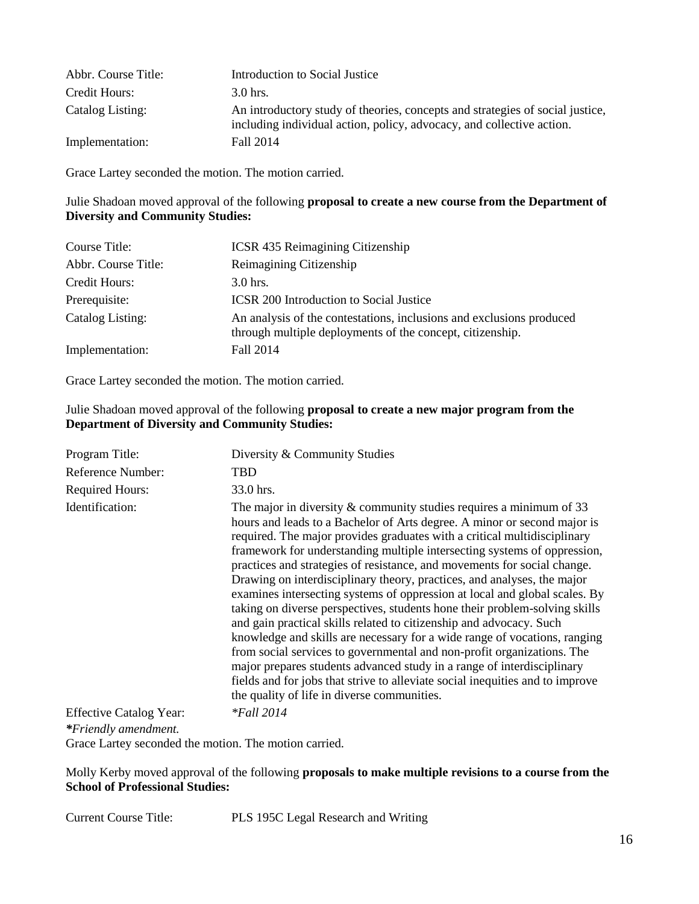| Abbr. Course Title: | Introduction to Social Justice                                                                                                                         |
|---------------------|--------------------------------------------------------------------------------------------------------------------------------------------------------|
| Credit Hours:       | $3.0$ hrs.                                                                                                                                             |
| Catalog Listing:    | An introductory study of theories, concepts and strategies of social justice,<br>including individual action, policy, advocacy, and collective action. |
| Implementation:     | Fall 2014                                                                                                                                              |

Grace Lartey seconded the motion. The motion carried.

## Julie Shadoan moved approval of the following **proposal to create a new course from the Department of Diversity and Community Studies:**

| Course Title:       | <b>ICSR 435 Reimagining Citizenship</b>                                                                                           |
|---------------------|-----------------------------------------------------------------------------------------------------------------------------------|
| Abbr. Course Title: | Reimagining Citizenship                                                                                                           |
| Credit Hours:       | $3.0$ hrs.                                                                                                                        |
| Prerequisite:       | <b>ICSR 200 Introduction to Social Justice</b>                                                                                    |
| Catalog Listing:    | An analysis of the contestations, inclusions and exclusions produced<br>through multiple deployments of the concept, citizenship. |
| Implementation:     | Fall 2014                                                                                                                         |

Grace Lartey seconded the motion. The motion carried.

## Julie Shadoan moved approval of the following **proposal to create a new major program from the Department of Diversity and Community Studies:**

| Program Title:                 | Diversity & Community Studies                                                                                                                                                                                                                                                                                                                                                                                                                                                                                                                                                                                                                                                                                                                                                                                                                                                                                                                                                                                                                                        |
|--------------------------------|----------------------------------------------------------------------------------------------------------------------------------------------------------------------------------------------------------------------------------------------------------------------------------------------------------------------------------------------------------------------------------------------------------------------------------------------------------------------------------------------------------------------------------------------------------------------------------------------------------------------------------------------------------------------------------------------------------------------------------------------------------------------------------------------------------------------------------------------------------------------------------------------------------------------------------------------------------------------------------------------------------------------------------------------------------------------|
| Reference Number:              | TBD                                                                                                                                                                                                                                                                                                                                                                                                                                                                                                                                                                                                                                                                                                                                                                                                                                                                                                                                                                                                                                                                  |
| <b>Required Hours:</b>         | 33.0 hrs.                                                                                                                                                                                                                                                                                                                                                                                                                                                                                                                                                                                                                                                                                                                                                                                                                                                                                                                                                                                                                                                            |
| Identification:                | The major in diversity $&$ community studies requires a minimum of 33<br>hours and leads to a Bachelor of Arts degree. A minor or second major is<br>required. The major provides graduates with a critical multidisciplinary<br>framework for understanding multiple intersecting systems of oppression,<br>practices and strategies of resistance, and movements for social change.<br>Drawing on interdisciplinary theory, practices, and analyses, the major<br>examines intersecting systems of oppression at local and global scales. By<br>taking on diverse perspectives, students hone their problem-solving skills<br>and gain practical skills related to citizenship and advocacy. Such<br>knowledge and skills are necessary for a wide range of vocations, ranging<br>from social services to governmental and non-profit organizations. The<br>major prepares students advanced study in a range of interdisciplinary<br>fields and for jobs that strive to alleviate social inequities and to improve<br>the quality of life in diverse communities. |
| <b>Effective Catalog Year:</b> | $*$ Fall 2014                                                                                                                                                                                                                                                                                                                                                                                                                                                                                                                                                                                                                                                                                                                                                                                                                                                                                                                                                                                                                                                        |

*\*Friendly amendment.*

Grace Lartey seconded the motion. The motion carried.

Molly Kerby moved approval of the following **proposals to make multiple revisions to a course from the School of Professional Studies:**

Current Course Title: PLS 195C Legal Research and Writing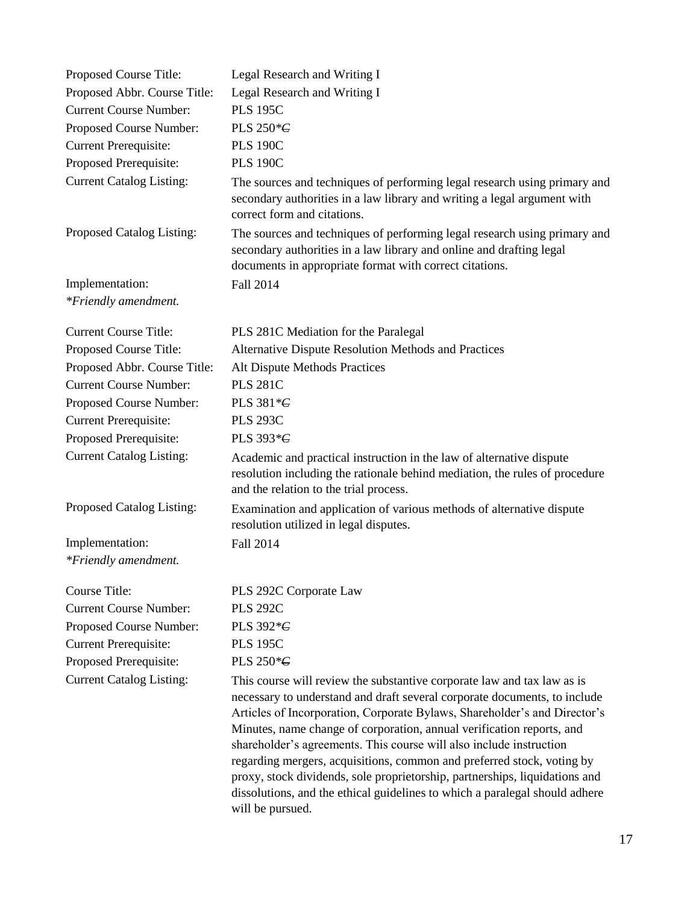| Proposed Course Title:          | Legal Research and Writing I                                                                                                                                                                                                                                                                                                                                                                                                                                                                                                                                                                                                                  |
|---------------------------------|-----------------------------------------------------------------------------------------------------------------------------------------------------------------------------------------------------------------------------------------------------------------------------------------------------------------------------------------------------------------------------------------------------------------------------------------------------------------------------------------------------------------------------------------------------------------------------------------------------------------------------------------------|
| Proposed Abbr. Course Title:    | Legal Research and Writing I                                                                                                                                                                                                                                                                                                                                                                                                                                                                                                                                                                                                                  |
| <b>Current Course Number:</b>   | <b>PLS 195C</b>                                                                                                                                                                                                                                                                                                                                                                                                                                                                                                                                                                                                                               |
| Proposed Course Number:         | PLS 250*C                                                                                                                                                                                                                                                                                                                                                                                                                                                                                                                                                                                                                                     |
| <b>Current Prerequisite:</b>    | <b>PLS 190C</b>                                                                                                                                                                                                                                                                                                                                                                                                                                                                                                                                                                                                                               |
| Proposed Prerequisite:          | <b>PLS 190C</b>                                                                                                                                                                                                                                                                                                                                                                                                                                                                                                                                                                                                                               |
| <b>Current Catalog Listing:</b> | The sources and techniques of performing legal research using primary and<br>secondary authorities in a law library and writing a legal argument with<br>correct form and citations.                                                                                                                                                                                                                                                                                                                                                                                                                                                          |
| Proposed Catalog Listing:       | The sources and techniques of performing legal research using primary and<br>secondary authorities in a law library and online and drafting legal<br>documents in appropriate format with correct citations.                                                                                                                                                                                                                                                                                                                                                                                                                                  |
| Implementation:                 | Fall 2014                                                                                                                                                                                                                                                                                                                                                                                                                                                                                                                                                                                                                                     |
| *Friendly amendment.            |                                                                                                                                                                                                                                                                                                                                                                                                                                                                                                                                                                                                                                               |
| <b>Current Course Title:</b>    | PLS 281C Mediation for the Paralegal                                                                                                                                                                                                                                                                                                                                                                                                                                                                                                                                                                                                          |
| Proposed Course Title:          | Alternative Dispute Resolution Methods and Practices                                                                                                                                                                                                                                                                                                                                                                                                                                                                                                                                                                                          |
| Proposed Abbr. Course Title:    | Alt Dispute Methods Practices                                                                                                                                                                                                                                                                                                                                                                                                                                                                                                                                                                                                                 |
| <b>Current Course Number:</b>   | <b>PLS 281C</b>                                                                                                                                                                                                                                                                                                                                                                                                                                                                                                                                                                                                                               |
| Proposed Course Number:         | PLS 381 * C                                                                                                                                                                                                                                                                                                                                                                                                                                                                                                                                                                                                                                   |
| <b>Current Prerequisite:</b>    | <b>PLS 293C</b>                                                                                                                                                                                                                                                                                                                                                                                                                                                                                                                                                                                                                               |
| Proposed Prerequisite:          | PLS 393* <del>C</del>                                                                                                                                                                                                                                                                                                                                                                                                                                                                                                                                                                                                                         |
| <b>Current Catalog Listing:</b> | Academic and practical instruction in the law of alternative dispute<br>resolution including the rationale behind mediation, the rules of procedure<br>and the relation to the trial process.                                                                                                                                                                                                                                                                                                                                                                                                                                                 |
| Proposed Catalog Listing:       | Examination and application of various methods of alternative dispute<br>resolution utilized in legal disputes.                                                                                                                                                                                                                                                                                                                                                                                                                                                                                                                               |
| Implementation:                 | Fall 2014                                                                                                                                                                                                                                                                                                                                                                                                                                                                                                                                                                                                                                     |
| *Friendly amendment.            |                                                                                                                                                                                                                                                                                                                                                                                                                                                                                                                                                                                                                                               |
| Course Title:                   | PLS 292C Corporate Law                                                                                                                                                                                                                                                                                                                                                                                                                                                                                                                                                                                                                        |
| <b>Current Course Number:</b>   | <b>PLS 292C</b>                                                                                                                                                                                                                                                                                                                                                                                                                                                                                                                                                                                                                               |
| Proposed Course Number:         | PLS 392* <del>C</del>                                                                                                                                                                                                                                                                                                                                                                                                                                                                                                                                                                                                                         |
| <b>Current Prerequisite:</b>    | <b>PLS 195C</b>                                                                                                                                                                                                                                                                                                                                                                                                                                                                                                                                                                                                                               |
| Proposed Prerequisite:          | PLS 250* <del>C</del>                                                                                                                                                                                                                                                                                                                                                                                                                                                                                                                                                                                                                         |
| <b>Current Catalog Listing:</b> | This course will review the substantive corporate law and tax law as is<br>necessary to understand and draft several corporate documents, to include<br>Articles of Incorporation, Corporate Bylaws, Shareholder's and Director's<br>Minutes, name change of corporation, annual verification reports, and<br>shareholder's agreements. This course will also include instruction<br>regarding mergers, acquisitions, common and preferred stock, voting by<br>proxy, stock dividends, sole proprietorship, partnerships, liquidations and<br>dissolutions, and the ethical guidelines to which a paralegal should adhere<br>will be pursued. |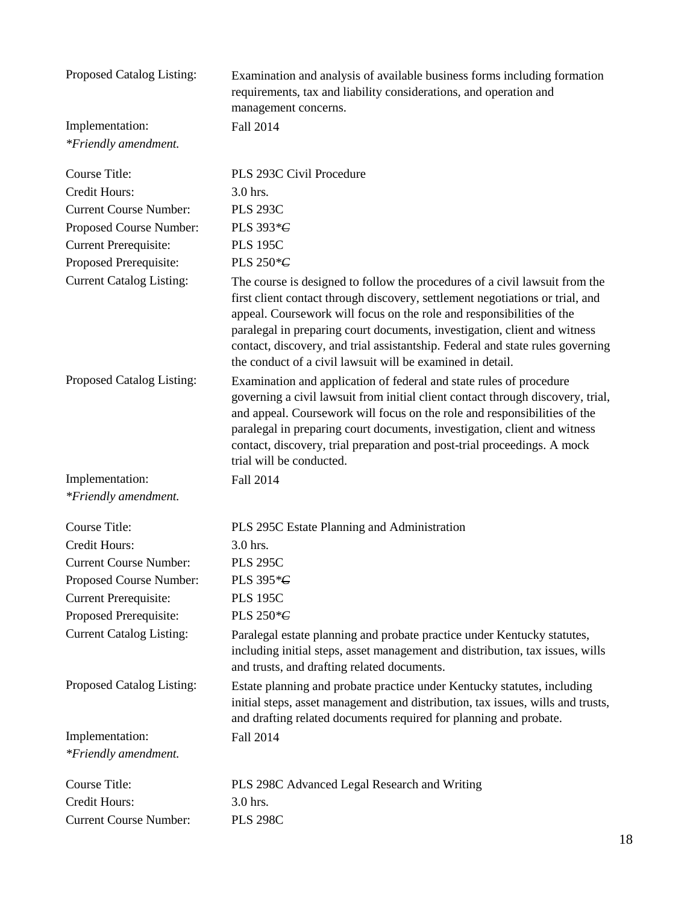| Proposed Catalog Listing:       | Examination and analysis of available business forms including formation<br>requirements, tax and liability considerations, and operation and<br>management concerns.                                                                                                                                                                                                                                                                                              |
|---------------------------------|--------------------------------------------------------------------------------------------------------------------------------------------------------------------------------------------------------------------------------------------------------------------------------------------------------------------------------------------------------------------------------------------------------------------------------------------------------------------|
| Implementation:                 | Fall 2014                                                                                                                                                                                                                                                                                                                                                                                                                                                          |
| *Friendly amendment.            |                                                                                                                                                                                                                                                                                                                                                                                                                                                                    |
| Course Title:                   | PLS 293C Civil Procedure                                                                                                                                                                                                                                                                                                                                                                                                                                           |
| <b>Credit Hours:</b>            | 3.0 hrs.                                                                                                                                                                                                                                                                                                                                                                                                                                                           |
| <b>Current Course Number:</b>   | <b>PLS 293C</b>                                                                                                                                                                                                                                                                                                                                                                                                                                                    |
| Proposed Course Number:         | PLS 393* <del>C</del>                                                                                                                                                                                                                                                                                                                                                                                                                                              |
| <b>Current Prerequisite:</b>    | <b>PLS 195C</b>                                                                                                                                                                                                                                                                                                                                                                                                                                                    |
| Proposed Prerequisite:          | PLS 250 $*$ $\epsilon$                                                                                                                                                                                                                                                                                                                                                                                                                                             |
| <b>Current Catalog Listing:</b> | The course is designed to follow the procedures of a civil lawsuit from the<br>first client contact through discovery, settlement negotiations or trial, and<br>appeal. Coursework will focus on the role and responsibilities of the<br>paralegal in preparing court documents, investigation, client and witness<br>contact, discovery, and trial assistantship. Federal and state rules governing<br>the conduct of a civil lawsuit will be examined in detail. |
| Proposed Catalog Listing:       | Examination and application of federal and state rules of procedure<br>governing a civil lawsuit from initial client contact through discovery, trial,<br>and appeal. Coursework will focus on the role and responsibilities of the<br>paralegal in preparing court documents, investigation, client and witness<br>contact, discovery, trial preparation and post-trial proceedings. A mock<br>trial will be conducted.                                           |
| Implementation:                 | Fall 2014                                                                                                                                                                                                                                                                                                                                                                                                                                                          |
| *Friendly amendment.            |                                                                                                                                                                                                                                                                                                                                                                                                                                                                    |
| <b>Course Title:</b>            | PLS 295C Estate Planning and Administration                                                                                                                                                                                                                                                                                                                                                                                                                        |
| <b>Credit Hours:</b>            | 3.0 hrs.                                                                                                                                                                                                                                                                                                                                                                                                                                                           |
| <b>Current Course Number:</b>   | <b>PLS 295C</b>                                                                                                                                                                                                                                                                                                                                                                                                                                                    |
| Proposed Course Number:         | PLS 395 * C                                                                                                                                                                                                                                                                                                                                                                                                                                                        |
| <b>Current Prerequisite:</b>    | <b>PLS 195C</b>                                                                                                                                                                                                                                                                                                                                                                                                                                                    |
| Proposed Prerequisite:          | PLS 250*G                                                                                                                                                                                                                                                                                                                                                                                                                                                          |
| <b>Current Catalog Listing:</b> | Paralegal estate planning and probate practice under Kentucky statutes,<br>including initial steps, asset management and distribution, tax issues, wills<br>and trusts, and drafting related documents.                                                                                                                                                                                                                                                            |
| Proposed Catalog Listing:       | Estate planning and probate practice under Kentucky statutes, including<br>initial steps, asset management and distribution, tax issues, wills and trusts,<br>and drafting related documents required for planning and probate.                                                                                                                                                                                                                                    |
| Implementation:                 | Fall 2014                                                                                                                                                                                                                                                                                                                                                                                                                                                          |
| *Friendly amendment.            |                                                                                                                                                                                                                                                                                                                                                                                                                                                                    |
| Course Title:                   | PLS 298C Advanced Legal Research and Writing                                                                                                                                                                                                                                                                                                                                                                                                                       |
| Credit Hours:                   | 3.0 hrs.                                                                                                                                                                                                                                                                                                                                                                                                                                                           |
| <b>Current Course Number:</b>   | <b>PLS 298C</b>                                                                                                                                                                                                                                                                                                                                                                                                                                                    |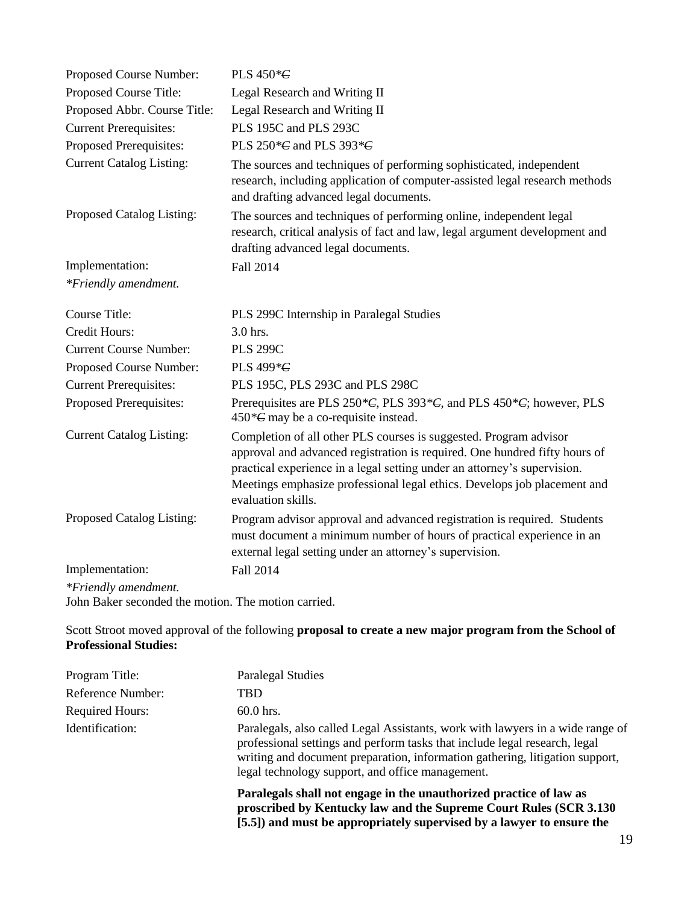| Proposed Course Number:                             | PLS $450*C$                                                                                                                                                                                                                                                                                                                   |
|-----------------------------------------------------|-------------------------------------------------------------------------------------------------------------------------------------------------------------------------------------------------------------------------------------------------------------------------------------------------------------------------------|
| Proposed Course Title:                              | Legal Research and Writing II                                                                                                                                                                                                                                                                                                 |
| Proposed Abbr. Course Title:                        | Legal Research and Writing II                                                                                                                                                                                                                                                                                                 |
| <b>Current Prerequisites:</b>                       | PLS 195C and PLS 293C                                                                                                                                                                                                                                                                                                         |
| Proposed Prerequisites:                             | PLS 250 $*$ C and PLS 393 $*$ C                                                                                                                                                                                                                                                                                               |
| <b>Current Catalog Listing:</b>                     | The sources and techniques of performing sophisticated, independent<br>research, including application of computer-assisted legal research methods<br>and drafting advanced legal documents.                                                                                                                                  |
| Proposed Catalog Listing:                           | The sources and techniques of performing online, independent legal<br>research, critical analysis of fact and law, legal argument development and<br>drafting advanced legal documents.                                                                                                                                       |
| Implementation:                                     | Fall 2014                                                                                                                                                                                                                                                                                                                     |
| *Friendly amendment.                                |                                                                                                                                                                                                                                                                                                                               |
| <b>Course Title:</b>                                | PLS 299C Internship in Paralegal Studies                                                                                                                                                                                                                                                                                      |
| <b>Credit Hours:</b>                                | 3.0 hrs.                                                                                                                                                                                                                                                                                                                      |
| <b>Current Course Number:</b>                       | <b>PLS 299C</b>                                                                                                                                                                                                                                                                                                               |
| Proposed Course Number:                             | PLS 499* <del>C</del>                                                                                                                                                                                                                                                                                                         |
| <b>Current Prerequisites:</b>                       | PLS 195C, PLS 293C and PLS 298C                                                                                                                                                                                                                                                                                               |
| Proposed Prerequisites:                             | Prerequisites are PLS $250*C$ , PLS $393*C$ , and PLS $450*C$ ; however, PLS<br>$450 \text{°} \text{C}$ may be a co-requisite instead.                                                                                                                                                                                        |
| <b>Current Catalog Listing:</b>                     | Completion of all other PLS courses is suggested. Program advisor<br>approval and advanced registration is required. One hundred fifty hours of<br>practical experience in a legal setting under an attorney's supervision.<br>Meetings emphasize professional legal ethics. Develops job placement and<br>evaluation skills. |
| Proposed Catalog Listing:                           | Program advisor approval and advanced registration is required. Students<br>must document a minimum number of hours of practical experience in an<br>external legal setting under an attorney's supervision.                                                                                                                  |
| Implementation:                                     | Fall 2014                                                                                                                                                                                                                                                                                                                     |
| *Friendly amendment.                                |                                                                                                                                                                                                                                                                                                                               |
| John Baker seconded the motion. The motion carried. |                                                                                                                                                                                                                                                                                                                               |

Scott Stroot moved approval of the following **proposal to create a new major program from the School of Professional Studies:**

| Program Title:         | <b>Paralegal Studies</b>                                                                                                                                                                                                                                                                         |
|------------------------|--------------------------------------------------------------------------------------------------------------------------------------------------------------------------------------------------------------------------------------------------------------------------------------------------|
| Reference Number:      | TBD                                                                                                                                                                                                                                                                                              |
| <b>Required Hours:</b> | $60.0$ hrs.                                                                                                                                                                                                                                                                                      |
| Identification:        | Paralegals, also called Legal Assistants, work with lawyers in a wide range of<br>professional settings and perform tasks that include legal research, legal<br>writing and document preparation, information gathering, litigation support,<br>legal technology support, and office management. |
|                        | Paralegals shall not engage in the unauthorized practice of law as<br>proscribed by Kentucky law and the Supreme Court Rules (SCR 3.130)<br>[5.5]) and must be appropriately supervised by a lawyer to ensure the                                                                                |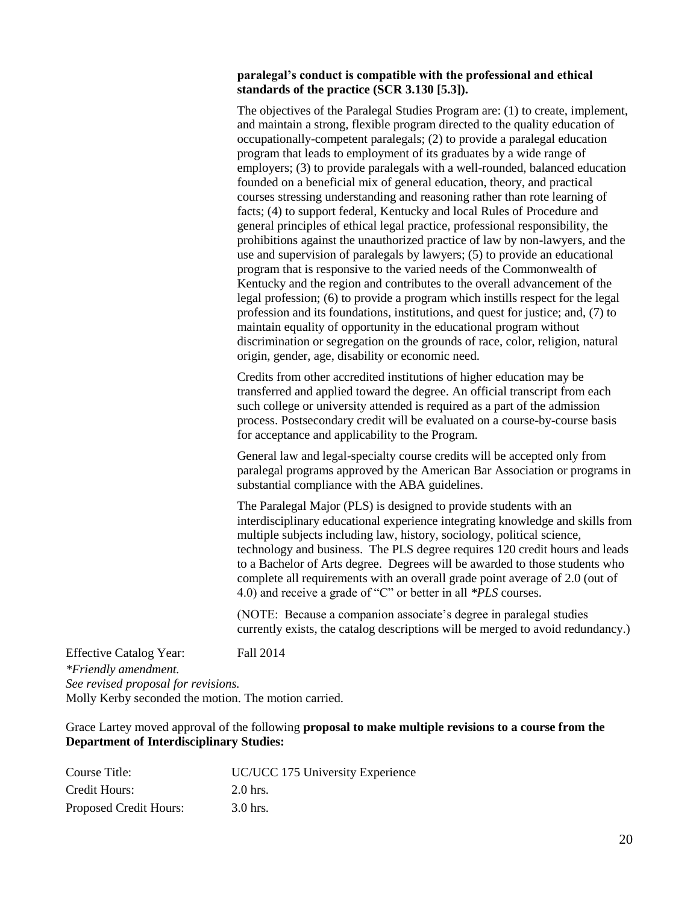#### **paralegal's conduct is compatible with the professional and ethical standards of the practice (SCR 3.130 [5.3]).**

The objectives of the Paralegal Studies Program are: (1) to create, implement, and maintain a strong, flexible program directed to the quality education of occupationally-competent paralegals; (2) to provide a paralegal education program that leads to employment of its graduates by a wide range of employers; (3) to provide paralegals with a well-rounded, balanced education founded on a beneficial mix of general education, theory, and practical courses stressing understanding and reasoning rather than rote learning of facts; (4) to support federal, Kentucky and local Rules of Procedure and general principles of ethical legal practice, professional responsibility, the prohibitions against the unauthorized practice of law by non-lawyers, and the use and supervision of paralegals by lawyers; (5) to provide an educational program that is responsive to the varied needs of the Commonwealth of Kentucky and the region and contributes to the overall advancement of the legal profession; (6) to provide a program which instills respect for the legal profession and its foundations, institutions, and quest for justice; and, (7) to maintain equality of opportunity in the educational program without discrimination or segregation on the grounds of race, color, religion, natural origin, gender, age, disability or economic need.

Credits from other accredited institutions of higher education may be transferred and applied toward the degree. An official transcript from each such college or university attended is required as a part of the admission process. Postsecondary credit will be evaluated on a course-by-course basis for acceptance and applicability to the Program.

General law and legal-specialty course credits will be accepted only from paralegal programs approved by the American Bar Association or programs in substantial compliance with the ABA guidelines.

The Paralegal Major (PLS) is designed to provide students with an interdisciplinary educational experience integrating knowledge and skills from multiple subjects including law, history, sociology, political science, technology and business. The PLS degree requires 120 credit hours and leads to a Bachelor of Arts degree. Degrees will be awarded to those students who complete all requirements with an overall grade point average of 2.0 (out of 4.0) and receive a grade of "C" or better in all *\*PLS* courses.

(NOTE: Because a companion associate's degree in paralegal studies currently exists, the catalog descriptions will be merged to avoid redundancy.)

Effective Catalog Year: Fall 2014 *\*Friendly amendment. See revised proposal for revisions.* Molly Kerby seconded the motion. The motion carried.

#### Grace Lartey moved approval of the following **proposal to make multiple revisions to a course from the Department of Interdisciplinary Studies:**

| Course Title:          | UC/UCC 175 University Experience |
|------------------------|----------------------------------|
| Credit Hours:          | $2.0$ hrs.                       |
| Proposed Credit Hours: | 3.0 hrs.                         |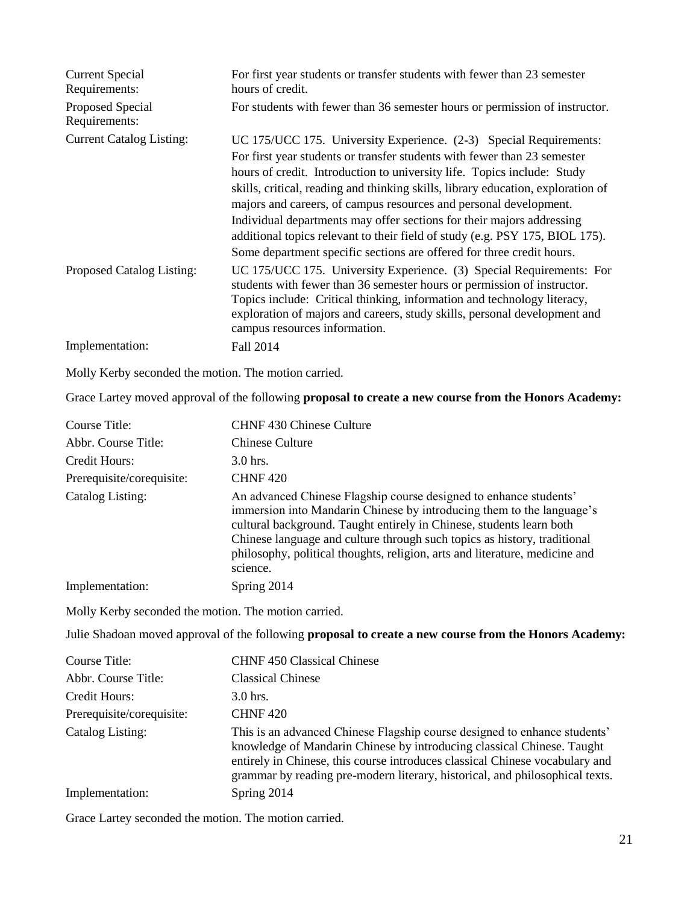| <b>Current Special</b><br>Requirements: | For first year students or transfer students with fewer than 23 semester<br>hours of credit.                                                                                                                                                                                                                                                                                                                                                                                                                                                                                                                         |
|-----------------------------------------|----------------------------------------------------------------------------------------------------------------------------------------------------------------------------------------------------------------------------------------------------------------------------------------------------------------------------------------------------------------------------------------------------------------------------------------------------------------------------------------------------------------------------------------------------------------------------------------------------------------------|
| Proposed Special<br>Requirements:       | For students with fewer than 36 semester hours or permission of instructor.                                                                                                                                                                                                                                                                                                                                                                                                                                                                                                                                          |
| <b>Current Catalog Listing:</b>         | UC 175/UCC 175. University Experience. (2-3) Special Requirements:<br>For first year students or transfer students with fewer than 23 semester<br>hours of credit. Introduction to university life. Topics include: Study<br>skills, critical, reading and thinking skills, library education, exploration of<br>majors and careers, of campus resources and personal development.<br>Individual departments may offer sections for their majors addressing<br>additional topics relevant to their field of study (e.g. PSY 175, BIOL 175).<br>Some department specific sections are offered for three credit hours. |
| Proposed Catalog Listing:               | UC 175/UCC 175. University Experience. (3) Special Requirements: For<br>students with fewer than 36 semester hours or permission of instructor.<br>Topics include: Critical thinking, information and technology literacy,<br>exploration of majors and careers, study skills, personal development and<br>campus resources information.                                                                                                                                                                                                                                                                             |
| Implementation:                         | Fall 2014                                                                                                                                                                                                                                                                                                                                                                                                                                                                                                                                                                                                            |

Molly Kerby seconded the motion. The motion carried.

Grace Lartey moved approval of the following **proposal to create a new course from the Honors Academy:**

| Course Title:             | CHNF 430 Chinese Culture                                                                                                                                                                                                                                                                                                                                                                  |
|---------------------------|-------------------------------------------------------------------------------------------------------------------------------------------------------------------------------------------------------------------------------------------------------------------------------------------------------------------------------------------------------------------------------------------|
| Abbr. Course Title:       | Chinese Culture                                                                                                                                                                                                                                                                                                                                                                           |
| Credit Hours:             | $3.0$ hrs.                                                                                                                                                                                                                                                                                                                                                                                |
| Prerequisite/corequisite: | <b>CHNF420</b>                                                                                                                                                                                                                                                                                                                                                                            |
| Catalog Listing:          | An advanced Chinese Flagship course designed to enhance students'<br>immersion into Mandarin Chinese by introducing them to the language's<br>cultural background. Taught entirely in Chinese, students learn both<br>Chinese language and culture through such topics as history, traditional<br>philosophy, political thoughts, religion, arts and literature, medicine and<br>science. |
| Implementation:           | Spring 2014                                                                                                                                                                                                                                                                                                                                                                               |

Molly Kerby seconded the motion. The motion carried.

Julie Shadoan moved approval of the following **proposal to create a new course from the Honors Academy:**

| Course Title:             | <b>CHNF 450 Classical Chinese</b>                                                                                                                                                                                                                                                                                   |
|---------------------------|---------------------------------------------------------------------------------------------------------------------------------------------------------------------------------------------------------------------------------------------------------------------------------------------------------------------|
| Abbr. Course Title:       | <b>Classical Chinese</b>                                                                                                                                                                                                                                                                                            |
| Credit Hours:             | $3.0$ hrs.                                                                                                                                                                                                                                                                                                          |
| Prerequisite/corequisite: | <b>CHNF420</b>                                                                                                                                                                                                                                                                                                      |
| Catalog Listing:          | This is an advanced Chinese Flagship course designed to enhance students'<br>knowledge of Mandarin Chinese by introducing classical Chinese. Taught<br>entirely in Chinese, this course introduces classical Chinese vocabulary and<br>grammar by reading pre-modern literary, historical, and philosophical texts. |
| Implementation:           | Spring 2014                                                                                                                                                                                                                                                                                                         |

Grace Lartey seconded the motion. The motion carried.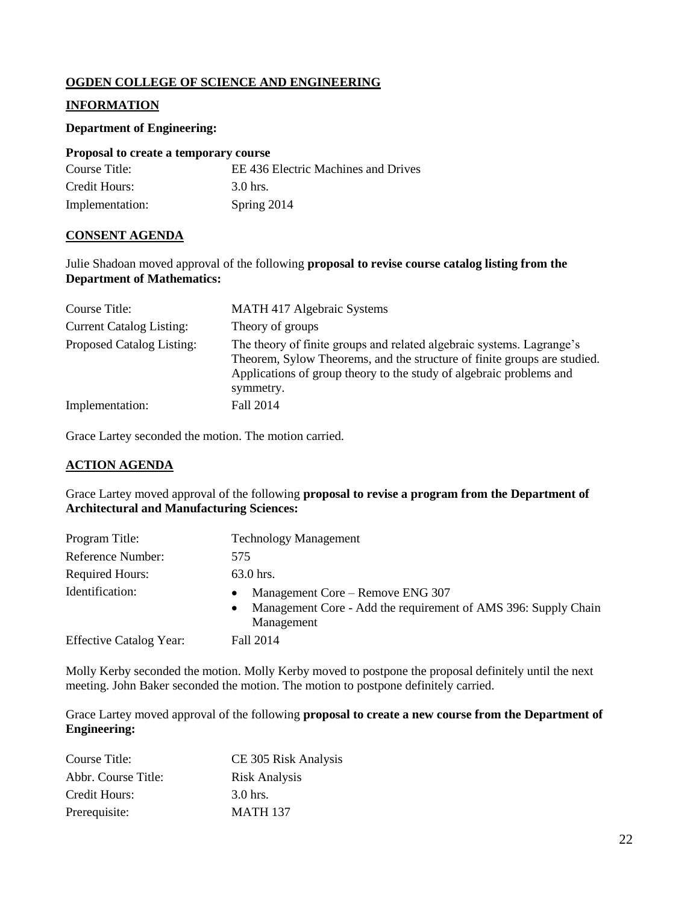## **OGDEN COLLEGE OF SCIENCE AND ENGINEERING**

## **INFORMATION**

### **Department of Engineering:**

| Proposal to create a temporary course |                                 |
|---------------------------------------|---------------------------------|
| $C_{\Omega U}$ rea Titla $\cdot$      | $EFA36$ Flootric $\overline{a}$ |

| Course Title:   | EE 436 Electric Machines and Drives |
|-----------------|-------------------------------------|
| Credit Hours:   | 3.0 hrs.                            |
| Implementation: | Spring 2014                         |

## **CONSENT AGENDA**

Julie Shadoan moved approval of the following **proposal to revise course catalog listing from the Department of Mathematics:**

| Course Title:                   | <b>MATH 417 Algebraic Systems</b>                                                                                                                                                                                                     |
|---------------------------------|---------------------------------------------------------------------------------------------------------------------------------------------------------------------------------------------------------------------------------------|
| <b>Current Catalog Listing:</b> | Theory of groups                                                                                                                                                                                                                      |
| Proposed Catalog Listing:       | The theory of finite groups and related algebraic systems. Lagrange's<br>Theorem, Sylow Theorems, and the structure of finite groups are studied.<br>Applications of group theory to the study of algebraic problems and<br>symmetry. |
| Implementation:                 | Fall 2014                                                                                                                                                                                                                             |

Grace Lartey seconded the motion. The motion carried.

## **ACTION AGENDA**

Grace Lartey moved approval of the following **proposal to revise a program from the Department of Architectural and Manufacturing Sciences:**

| Program Title:                 | <b>Technology Management</b>                                                                                                               |
|--------------------------------|--------------------------------------------------------------------------------------------------------------------------------------------|
| Reference Number:              | 575                                                                                                                                        |
| <b>Required Hours:</b>         | 63.0 hrs.                                                                                                                                  |
| Identification:                | Management Core – Remove ENG 307<br>$\bullet$<br>Management Core - Add the requirement of AMS 396: Supply Chain<br>$\bullet$<br>Management |
| <b>Effective Catalog Year:</b> | Fall 2014                                                                                                                                  |

Molly Kerby seconded the motion. Molly Kerby moved to postpone the proposal definitely until the next meeting. John Baker seconded the motion. The motion to postpone definitely carried.

Grace Lartey moved approval of the following **proposal to create a new course from the Department of Engineering:**

| Course Title:       | CE 305 Risk Analysis |
|---------------------|----------------------|
| Abbr. Course Title: | <b>Risk Analysis</b> |
| Credit Hours:       | $3.0$ hrs.           |
| Prerequisite:       | <b>MATH 137</b>      |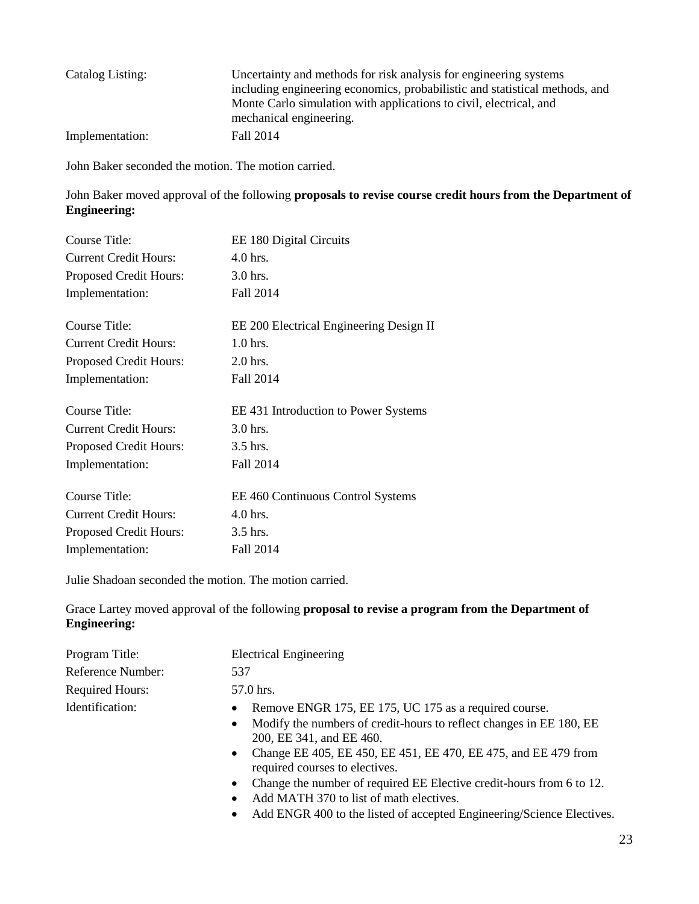| Catalog Listing: | Uncertainty and methods for risk analysis for engineering systems<br>including engineering economics, probabilistic and statistical methods, and<br>Monte Carlo simulation with applications to civil, electrical, and<br>mechanical engineering. |
|------------------|---------------------------------------------------------------------------------------------------------------------------------------------------------------------------------------------------------------------------------------------------|
| Implementation:  | Fall 2014                                                                                                                                                                                                                                         |

John Baker seconded the motion. The motion carried.

John Baker moved approval of the following **proposals to revise course credit hours from the Department of Engineering:**

| Course Title:                | EE 180 Digital Circuits                 |
|------------------------------|-----------------------------------------|
| <b>Current Credit Hours:</b> | $4.0$ hrs.                              |
| Proposed Credit Hours:       | 3.0 hrs.                                |
| Implementation:              | Fall 2014                               |
| Course Title:                | EE 200 Electrical Engineering Design II |
| <b>Current Credit Hours:</b> | $1.0$ hrs.                              |
| Proposed Credit Hours:       | $2.0$ hrs.                              |
| Implementation:              | Fall 2014                               |
| Course Title:                | EE 431 Introduction to Power Systems    |
| <b>Current Credit Hours:</b> | 3.0 hrs.                                |
| Proposed Credit Hours:       | $3.5$ hrs.                              |
| Implementation:              | Fall 2014                               |
| Course Title:                | EE 460 Continuous Control Systems       |
| <b>Current Credit Hours:</b> | $4.0$ hrs.                              |
| Proposed Credit Hours:       | $3.5$ hrs.                              |
| Implementation:              | Fall 2014                               |

Julie Shadoan seconded the motion. The motion carried.

Grace Lartey moved approval of the following **proposal to revise a program from the Department of Engineering:**

| Program Title:         | <b>Electrical Engineering</b>                                                                                                                                                                                                                                                                                                                                    |
|------------------------|------------------------------------------------------------------------------------------------------------------------------------------------------------------------------------------------------------------------------------------------------------------------------------------------------------------------------------------------------------------|
| Reference Number:      | 537                                                                                                                                                                                                                                                                                                                                                              |
| <b>Required Hours:</b> | 57.0 hrs.                                                                                                                                                                                                                                                                                                                                                        |
| Identification:        | Remove ENGR 175, EE 175, UC 175 as a required course.<br>$\bullet$<br>Modify the numbers of credit-hours to reflect changes in EE 180, EE<br>$\bullet$<br>200, EE 341, and EE 460.<br>• Change EE 405, EE 450, EE 451, EE 470, EE 475, and EE 479 from<br>required courses to electives.<br>Change the number of required EE Elective credit-hours from 6 to 12. |

- Add MATH 370 to list of math electives.
- Add ENGR 400 to the listed of accepted Engineering/Science Electives.